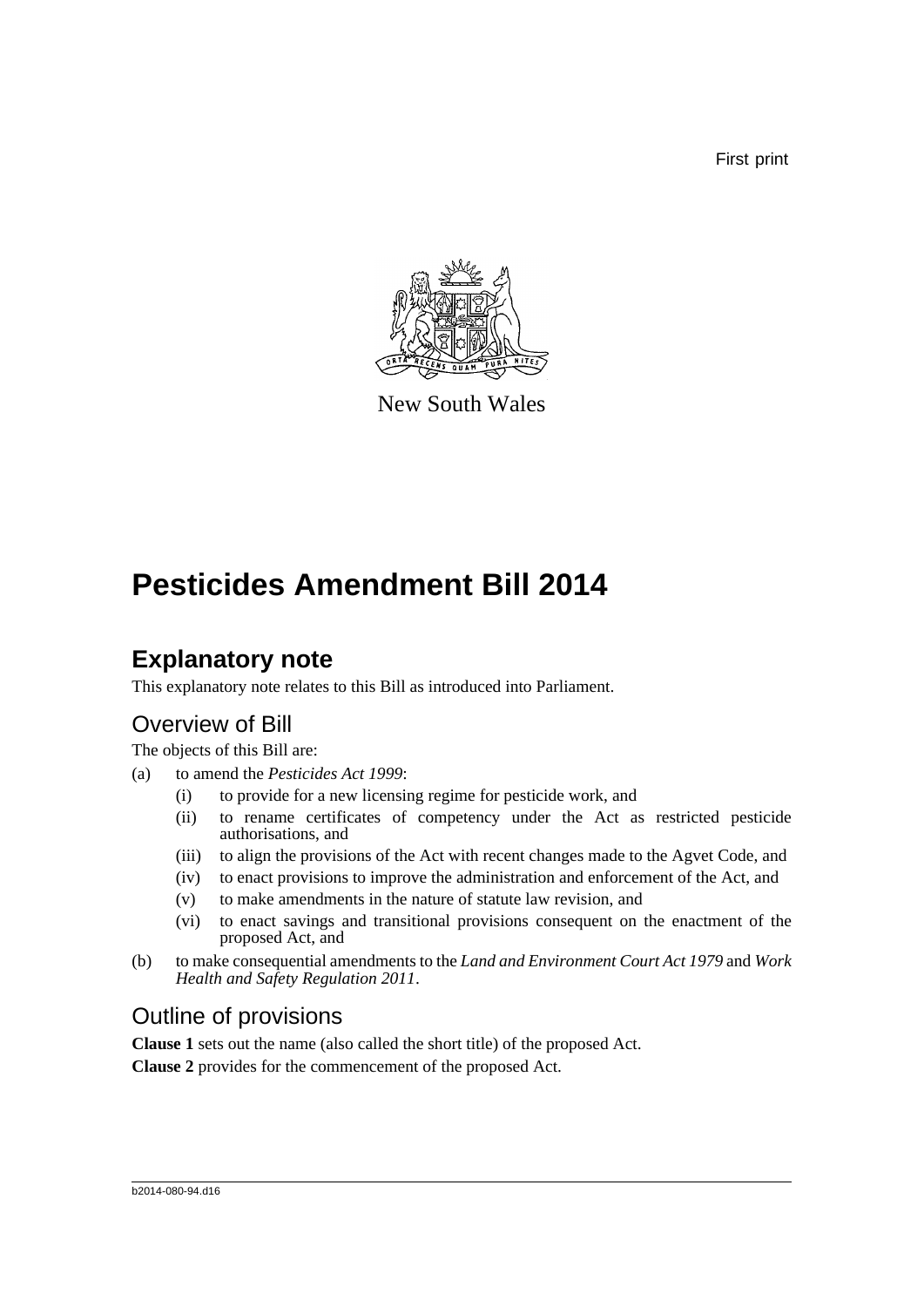First print



New South Wales

# **Pesticides Amendment Bill 2014**

## **Explanatory note**

This explanatory note relates to this Bill as introduced into Parliament.

## Overview of Bill

The objects of this Bill are:

- (a) to amend the *Pesticides Act 1999*:
	- (i) to provide for a new licensing regime for pesticide work, and
	- (ii) to rename certificates of competency under the Act as restricted pesticide authorisations, and
	- (iii) to align the provisions of the Act with recent changes made to the Agvet Code, and
	- (iv) to enact provisions to improve the administration and enforcement of the Act, and
	- (v) to make amendments in the nature of statute law revision, and
	- (vi) to enact savings and transitional provisions consequent on the enactment of the proposed Act, and
- (b) to make consequential amendments to the *Land and Environment Court Act 1979* and *Work Health and Safety Regulation 2011*.

## Outline of provisions

**Clause 1** sets out the name (also called the short title) of the proposed Act.

**Clause 2** provides for the commencement of the proposed Act.

#### b2014-080-94.d16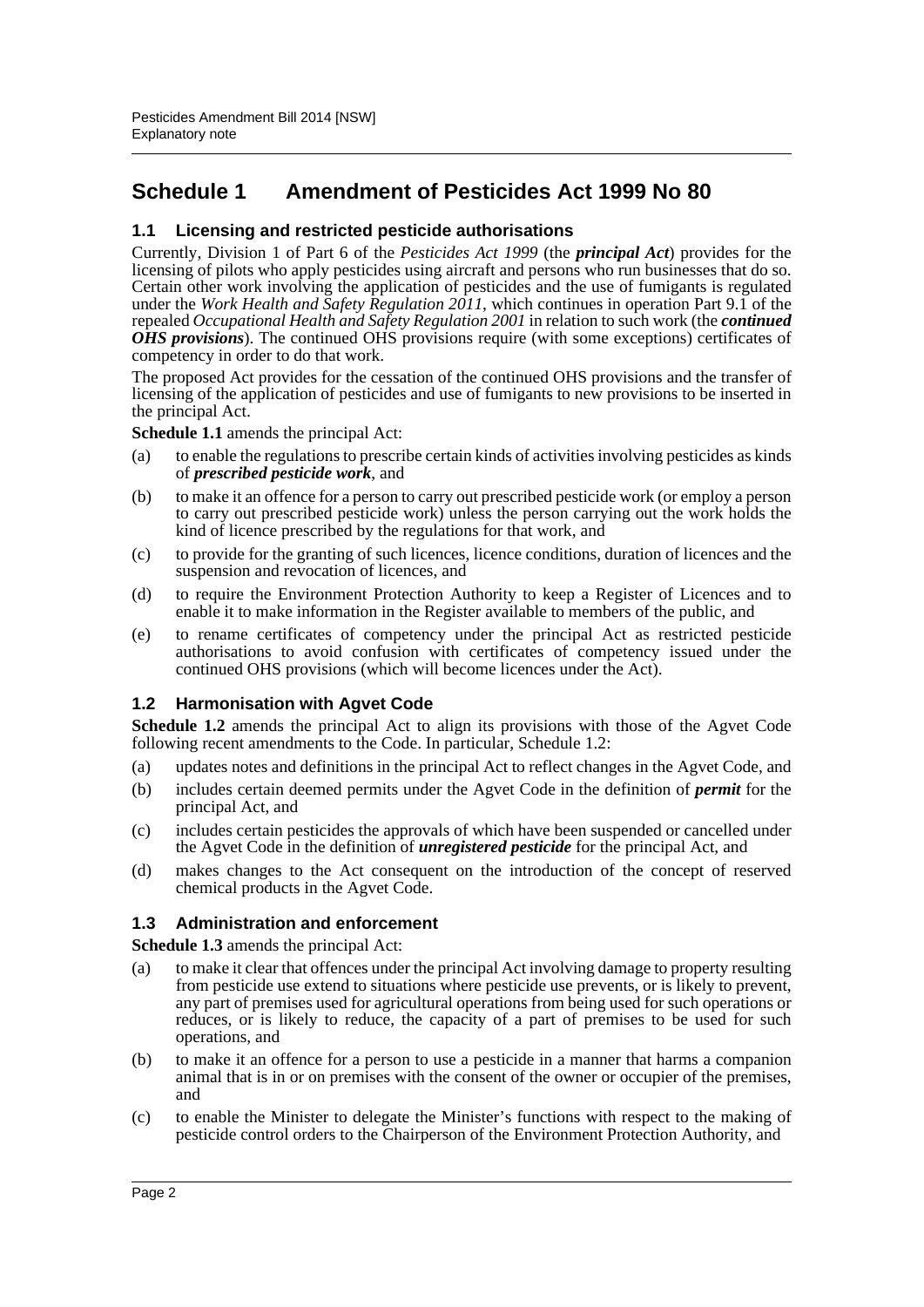## **Schedule 1 Amendment of Pesticides Act 1999 No 80**

#### **1.1 Licensing and restricted pesticide authorisations**

Currently, Division 1 of Part 6 of the *Pesticides Act 1999* (the *principal Act*) provides for the licensing of pilots who apply pesticides using aircraft and persons who run businesses that do so. Certain other work involving the application of pesticides and the use of fumigants is regulated under the *Work Health and Safety Regulation 2011*, which continues in operation Part 9.1 of the repealed *Occupational Health and Safety Regulation 2001* in relation to such work (the *continued OHS provisions*). The continued OHS provisions require (with some exceptions) certificates of competency in order to do that work.

The proposed Act provides for the cessation of the continued OHS provisions and the transfer of licensing of the application of pesticides and use of fumigants to new provisions to be inserted in the principal Act.

**Schedule 1.1** amends the principal Act:

- (a) to enable the regulations to prescribe certain kinds of activities involving pesticides as kinds of *prescribed pesticide work*, and
- (b) to make it an offence for a person to carry out prescribed pesticide work (or employ a person to carry out prescribed pesticide work) unless the person carrying out the work holds the kind of licence prescribed by the regulations for that work, and
- (c) to provide for the granting of such licences, licence conditions, duration of licences and the suspension and revocation of licences, and
- (d) to require the Environment Protection Authority to keep a Register of Licences and to enable it to make information in the Register available to members of the public, and
- (e) to rename certificates of competency under the principal Act as restricted pesticide authorisations to avoid confusion with certificates of competency issued under the continued OHS provisions (which will become licences under the Act).

#### **1.2 Harmonisation with Agvet Code**

**Schedule 1.2** amends the principal Act to align its provisions with those of the Agvet Code following recent amendments to the Code. In particular, Schedule 1.2:

- (a) updates notes and definitions in the principal Act to reflect changes in the Agvet Code, and
- (b) includes certain deemed permits under the Agvet Code in the definition of *permit* for the principal Act, and
- (c) includes certain pesticides the approvals of which have been suspended or cancelled under the Agvet Code in the definition of *unregistered pesticide* for the principal Act, and
- (d) makes changes to the Act consequent on the introduction of the concept of reserved chemical products in the Agvet Code.

#### **1.3 Administration and enforcement**

**Schedule 1.3** amends the principal Act:

- (a) to make it clear that offences under the principal Act involving damage to property resulting from pesticide use extend to situations where pesticide use prevents, or is likely to prevent, any part of premises used for agricultural operations from being used for such operations or reduces, or is likely to reduce, the capacity of a part of premises to be used for such operations, and
- (b) to make it an offence for a person to use a pesticide in a manner that harms a companion animal that is in or on premises with the consent of the owner or occupier of the premises, and
- (c) to enable the Minister to delegate the Minister's functions with respect to the making of pesticide control orders to the Chairperson of the Environment Protection Authority, and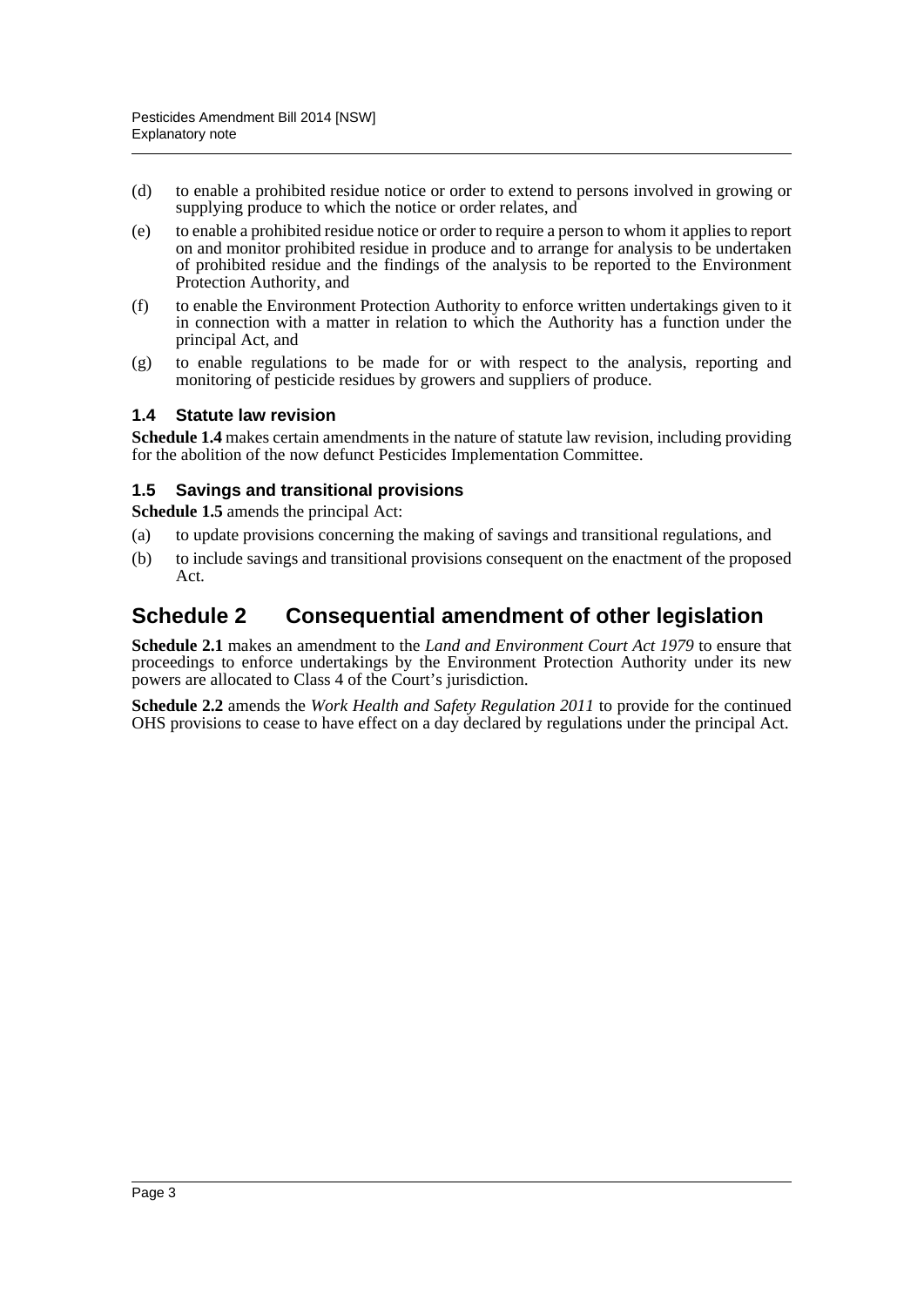- (d) to enable a prohibited residue notice or order to extend to persons involved in growing or supplying produce to which the notice or order relates, and
- (e) to enable a prohibited residue notice or order to require a person to whom it applies to report on and monitor prohibited residue in produce and to arrange for analysis to be undertaken of prohibited residue and the findings of the analysis to be reported to the Environment Protection Authority, and
- (f) to enable the Environment Protection Authority to enforce written undertakings given to it in connection with a matter in relation to which the Authority has a function under the principal Act, and
- (g) to enable regulations to be made for or with respect to the analysis, reporting and monitoring of pesticide residues by growers and suppliers of produce.

#### **1.4 Statute law revision**

**Schedule 1.4** makes certain amendments in the nature of statute law revision, including providing for the abolition of the now defunct Pesticides Implementation Committee.

#### **1.5 Savings and transitional provisions**

**Schedule 1.5** amends the principal Act:

- (a) to update provisions concerning the making of savings and transitional regulations, and
- (b) to include savings and transitional provisions consequent on the enactment of the proposed Act.

### **Schedule 2 Consequential amendment of other legislation**

**Schedule 2.1** makes an amendment to the *Land and Environment Court Act 1979* to ensure that proceedings to enforce undertakings by the Environment Protection Authority under its new powers are allocated to Class 4 of the Court's jurisdiction.

**Schedule 2.2** amends the *Work Health and Safety Regulation 2011* to provide for the continued OHS provisions to cease to have effect on a day declared by regulations under the principal Act.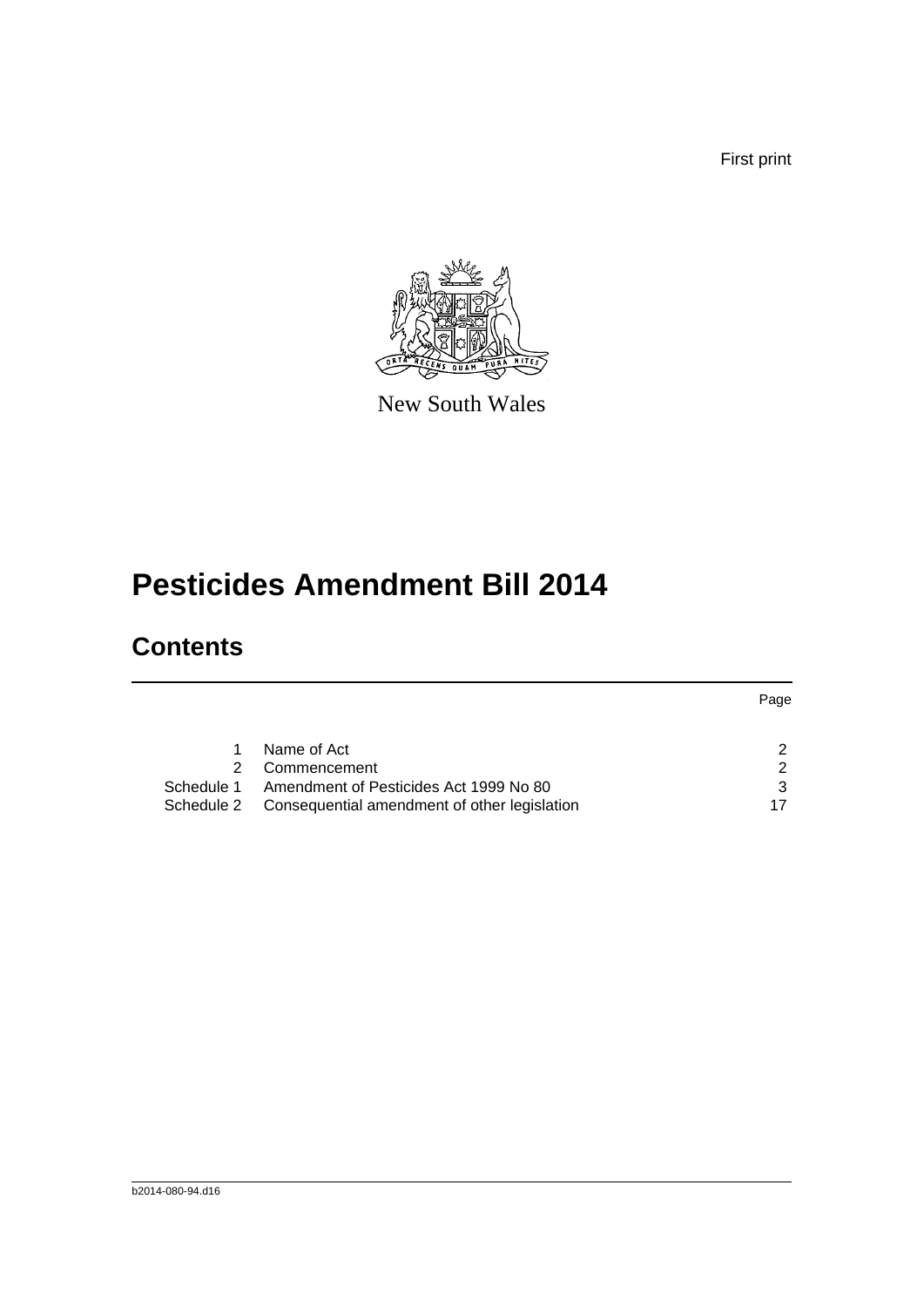First print



New South Wales

# **Pesticides Amendment Bill 2014**

## **Contents**

|            |                                              | Page |
|------------|----------------------------------------------|------|
|            |                                              |      |
| 1.         | Name of Act                                  | 2    |
| 2          | Commencement                                 | 2    |
| Schedule 1 | Amendment of Pesticides Act 1999 No 80       | 3    |
| Schedule 2 | Consequential amendment of other legislation |      |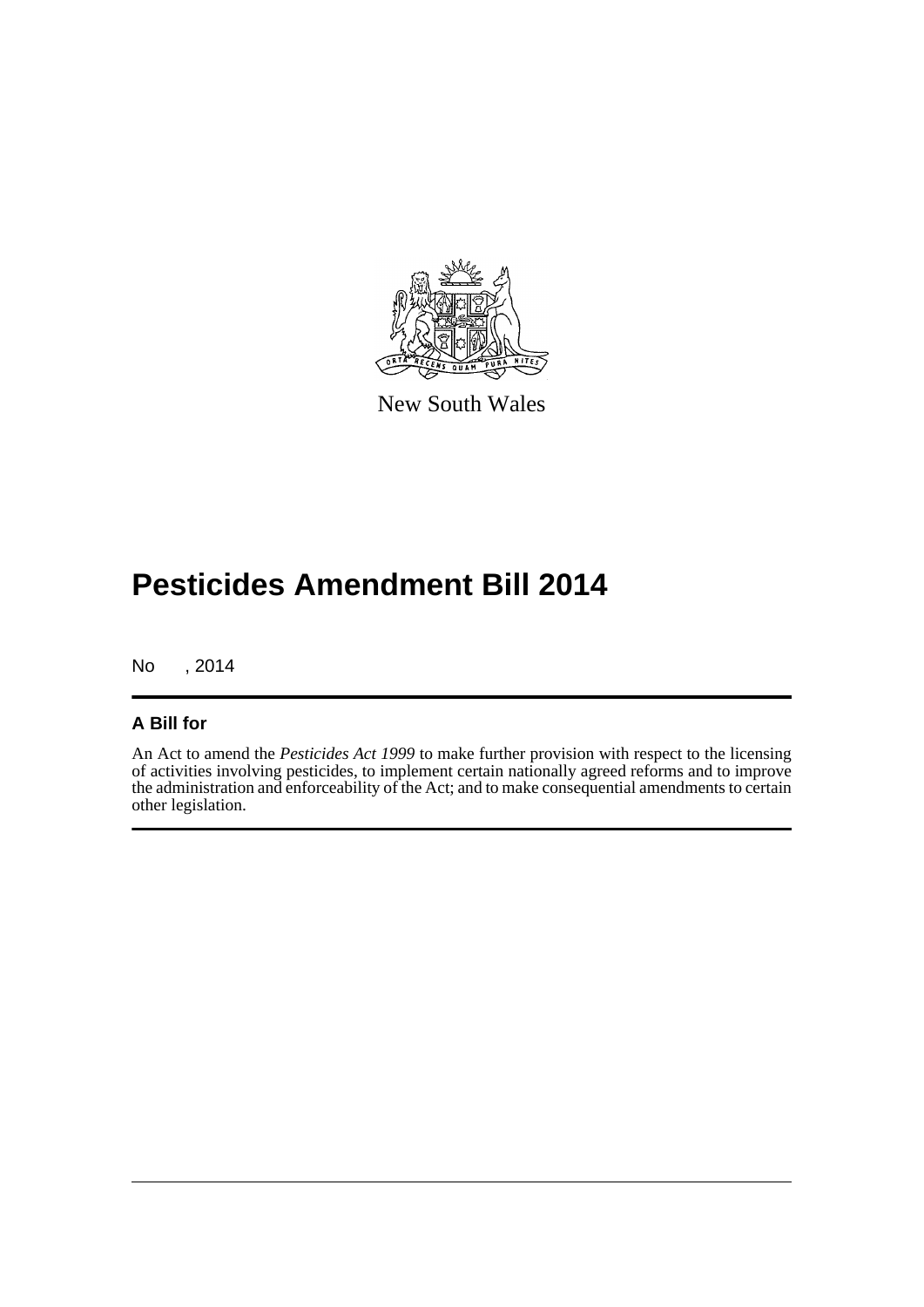

New South Wales

# **Pesticides Amendment Bill 2014**

No , 2014

### **A Bill for**

An Act to amend the *Pesticides Act 1999* to make further provision with respect to the licensing of activities involving pesticides, to implement certain nationally agreed reforms and to improve the administration and enforceability of the Act; and to make consequential amendments to certain other legislation.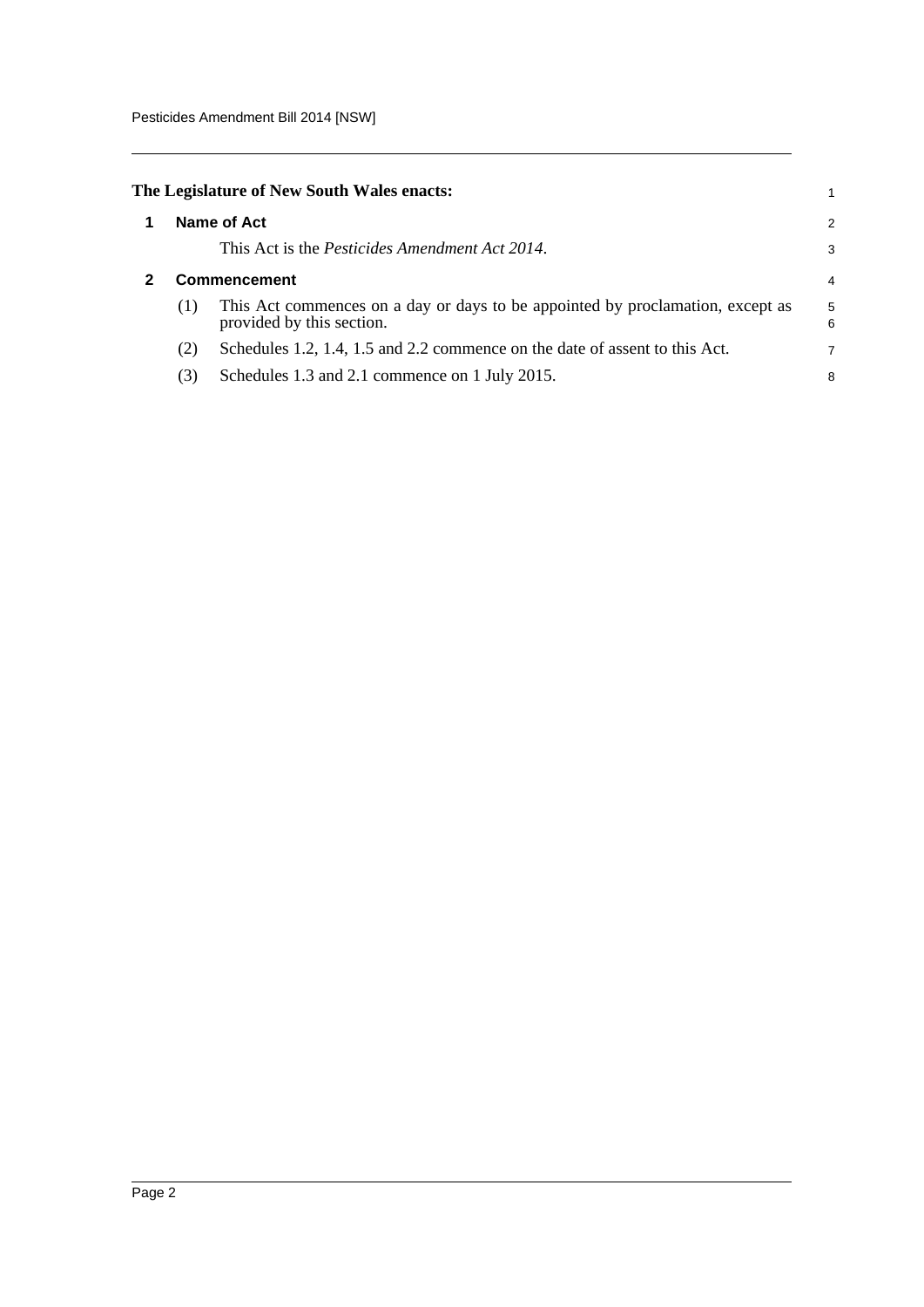<span id="page-5-1"></span><span id="page-5-0"></span>

|     | The Legislature of New South Wales enacts:                                                                  |        |
|-----|-------------------------------------------------------------------------------------------------------------|--------|
|     | Name of Act                                                                                                 | 2      |
|     | This Act is the <i>Pesticides Amendment Act 2014</i> .                                                      | З      |
|     | <b>Commencement</b>                                                                                         | 4      |
| (1) | This Act commences on a day or days to be appointed by proclamation, except as<br>provided by this section. | 5<br>6 |
| (2) | Schedules 1.2, 1.4, 1.5 and 2.2 commence on the date of assent to this Act.                                 | 7      |
| (3) | Schedules 1.3 and 2.1 commence on 1 July 2015.                                                              | 8      |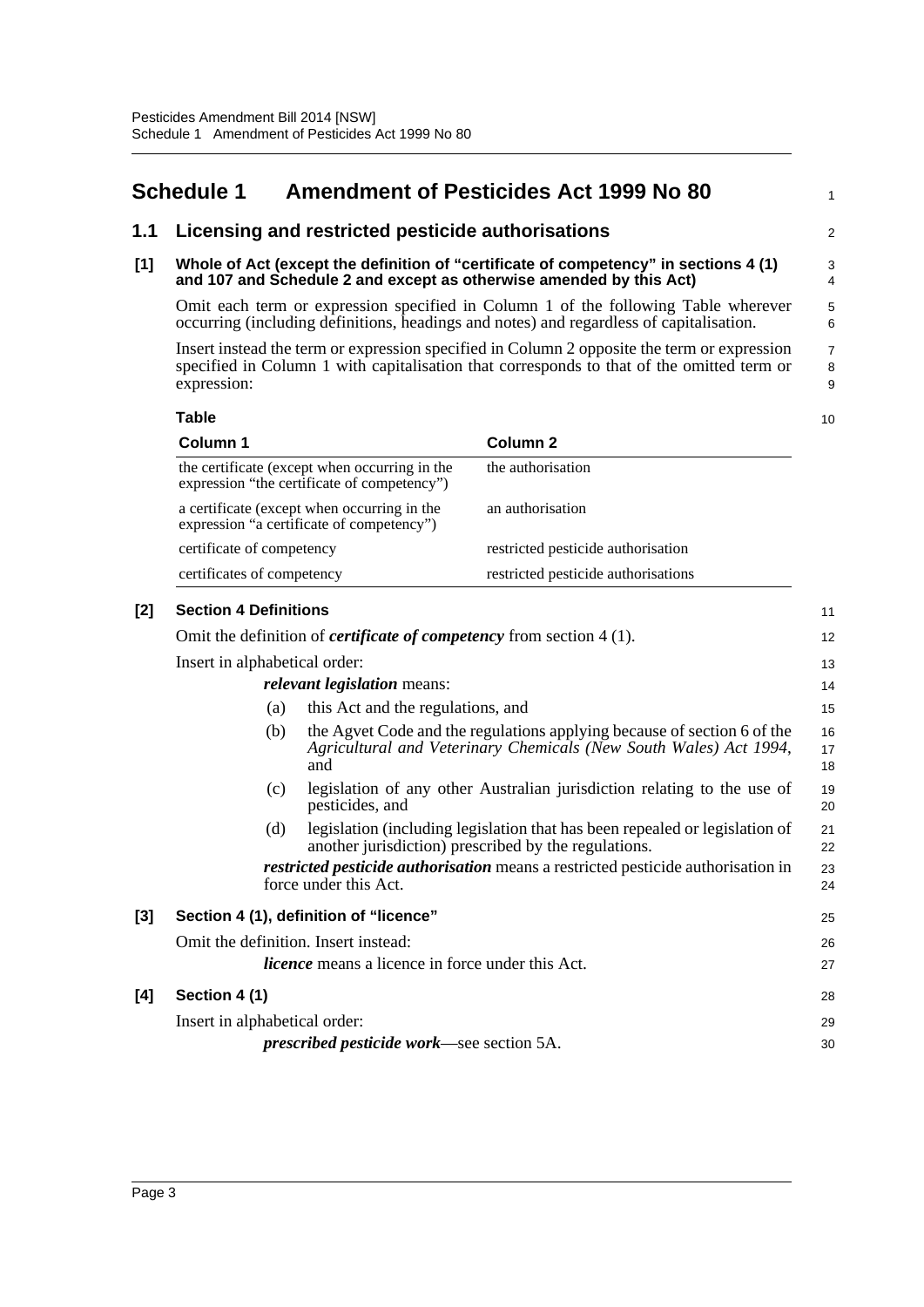## <span id="page-6-0"></span>**Schedule 1 Amendment of Pesticides Act 1999 No 80**

#### **1.1 Licensing and restricted pesticide authorisations**

#### **[1] Whole of Act (except the definition of "certificate of competency" in sections 4 (1) and 107 and Schedule 2 and except as otherwise amended by this Act)**

Omit each term or expression specified in Column 1 of the following Table wherever occurring (including definitions, headings and notes) and regardless of capitalisation.

Insert instead the term or expression specified in Column 2 opposite the term or expression specified in Column 1 with capitalisation that corresponds to that of the omitted term or expression:

**Table Column 1 Column 2** the certificate (except when occurring in the expression "the certificate of competency") the authorisation a certificate (except when occurring in the expression "a certificate of competency") an authorisation certificate of competency restricted pesticide authorisation certificates of competency restricted pesticide authorisations

| [2] | <b>Section 4 Definitions</b>         |                                                                                                                                                     | 11             |  |  |  |
|-----|--------------------------------------|-----------------------------------------------------------------------------------------------------------------------------------------------------|----------------|--|--|--|
|     |                                      | Omit the definition of <i>certificate of competency</i> from section $4(1)$ .                                                                       | 12             |  |  |  |
|     |                                      | Insert in alphabetical order:                                                                                                                       |                |  |  |  |
|     |                                      | <i>relevant legislation</i> means:                                                                                                                  | 14             |  |  |  |
|     | (a)                                  | this Act and the regulations, and                                                                                                                   | 15             |  |  |  |
|     | (b)                                  | the Agvet Code and the regulations applying because of section 6 of the<br>Agricultural and Veterinary Chemicals (New South Wales) Act 1994,<br>and | 16<br>17<br>18 |  |  |  |
|     | (c)                                  | legislation of any other Australian jurisdiction relating to the use of<br>pesticides, and                                                          | 19<br>20       |  |  |  |
|     | (d)                                  | legislation (including legislation that has been repealed or legislation of<br>another jurisdiction) prescribed by the regulations.                 | 21<br>22       |  |  |  |
|     |                                      | <i>restricted pesticide authorisation</i> means a restricted pesticide authorisation in<br>force under this Act.                                    | 23<br>24       |  |  |  |
| [3] |                                      | Section 4 (1), definition of "licence"                                                                                                              | 25             |  |  |  |
|     | Omit the definition. Insert instead: |                                                                                                                                                     | 26             |  |  |  |
|     |                                      | <i>licence</i> means a licence in force under this Act.                                                                                             | 27             |  |  |  |
| [4] | Section 4 (1)                        |                                                                                                                                                     | 28             |  |  |  |
|     | Insert in alphabetical order:        |                                                                                                                                                     | 29             |  |  |  |
|     |                                      | <i>prescribed pesticide work—see section 5A.</i>                                                                                                    | 30             |  |  |  |
|     |                                      |                                                                                                                                                     |                |  |  |  |

10

1

 $\overline{2}$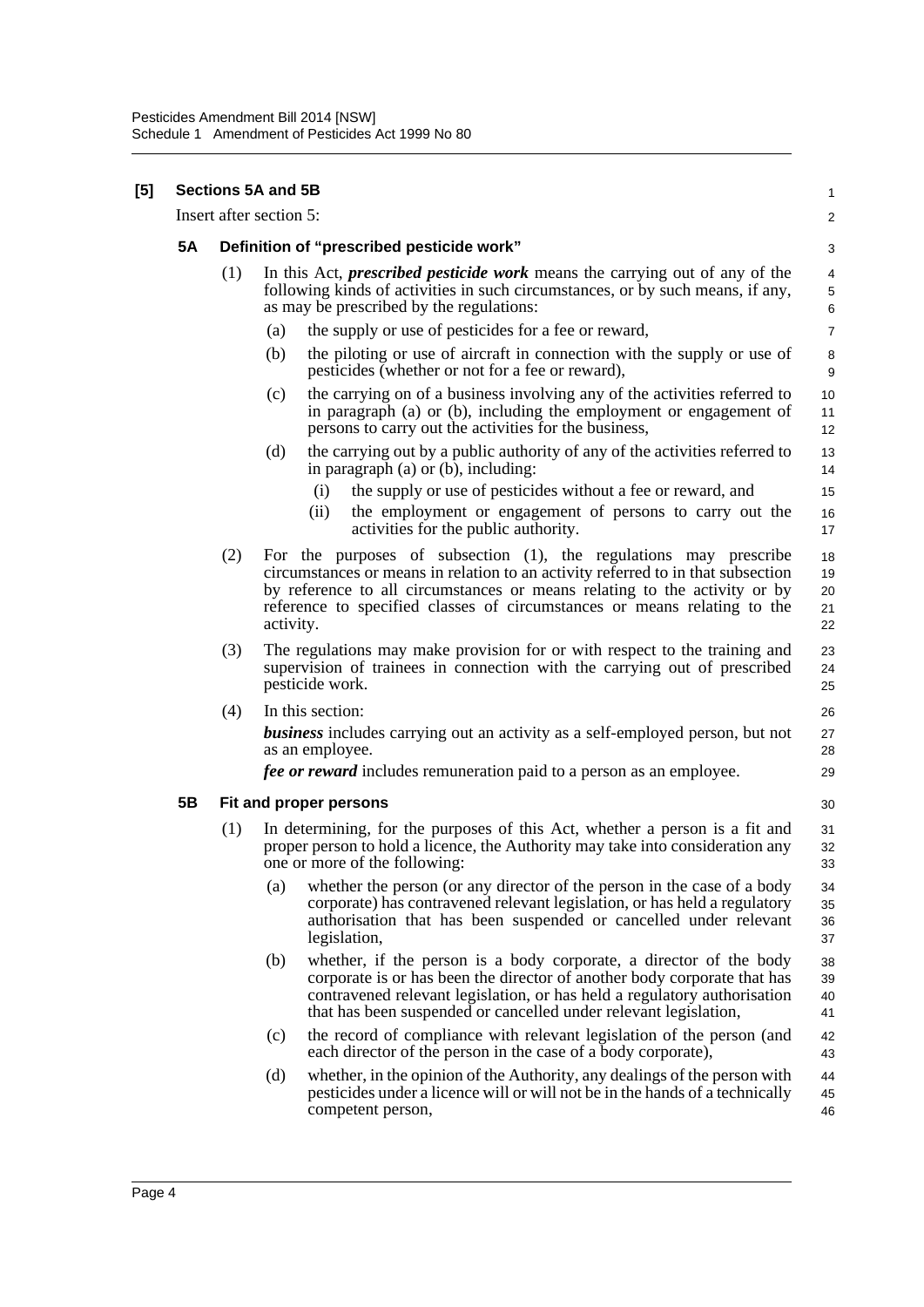**[5]** 

|                         |                                           | <b>Sections 5A and 5B</b>                                                                                                                                                                                                                                                                                                   | 1                          |  |
|-------------------------|-------------------------------------------|-----------------------------------------------------------------------------------------------------------------------------------------------------------------------------------------------------------------------------------------------------------------------------------------------------------------------------|----------------------------|--|
| Insert after section 5: |                                           |                                                                                                                                                                                                                                                                                                                             |                            |  |
| <b>5A</b>               | Definition of "prescribed pesticide work" |                                                                                                                                                                                                                                                                                                                             |                            |  |
|                         | (1)                                       | In this Act, <i>prescribed pesticide work</i> means the carrying out of any of the<br>following kinds of activities in such circumstances, or by such means, if any,<br>as may be prescribed by the regulations:                                                                                                            | $\overline{4}$<br>5<br>6   |  |
|                         |                                           | the supply or use of pesticides for a fee or reward,<br>(a)                                                                                                                                                                                                                                                                 | $\overline{7}$             |  |
|                         |                                           | the piloting or use of aircraft in connection with the supply or use of<br>(b)<br>pesticides (whether or not for a fee or reward),                                                                                                                                                                                          | 8<br>9                     |  |
|                         |                                           | the carrying on of a business involving any of the activities referred to<br>(c)<br>in paragraph (a) or (b), including the employment or engagement of<br>persons to carry out the activities for the business,                                                                                                             | 10<br>11<br>12             |  |
|                         |                                           | (d)<br>the carrying out by a public authority of any of the activities referred to<br>in paragraph $(a)$ or $(b)$ , including:                                                                                                                                                                                              | 13<br>14                   |  |
|                         |                                           | the supply or use of pesticides without a fee or reward, and<br>(i)<br>(ii)<br>the employment or engagement of persons to carry out the<br>activities for the public authority.                                                                                                                                             | 15<br>16<br>17             |  |
|                         | (2)                                       | For the purposes of subsection (1), the regulations may prescribe<br>circumstances or means in relation to an activity referred to in that subsection<br>by reference to all circumstances or means relating to the activity or by<br>reference to specified classes of circumstances or means relating to the<br>activity. | 18<br>19<br>20<br>21<br>22 |  |
|                         | (3)                                       | The regulations may make provision for or with respect to the training and<br>supervision of trainees in connection with the carrying out of prescribed<br>pesticide work.                                                                                                                                                  | 23<br>24<br>25             |  |
|                         | (4)                                       | In this section:                                                                                                                                                                                                                                                                                                            | 26                         |  |
|                         |                                           | <b>business</b> includes carrying out an activity as a self-employed person, but not<br>as an employee.                                                                                                                                                                                                                     | 27<br>28                   |  |
|                         |                                           | <i>fee or reward</i> includes remuneration paid to a person as an employee.                                                                                                                                                                                                                                                 | 29                         |  |
| 5B                      |                                           | Fit and proper persons                                                                                                                                                                                                                                                                                                      | 30                         |  |
|                         | (1)                                       | In determining, for the purposes of this Act, whether a person is a fit and<br>proper person to hold a licence, the Authority may take into consideration any<br>one or more of the following:                                                                                                                              | 31<br>32<br>33             |  |
|                         |                                           | whether the person (or any director of the person in the case of a body<br>(a)<br>corporate) has contravened relevant legislation, or has held a regulatory<br>authorisation that has been suspended or cancelled under relevant<br>legislation,                                                                            | 34<br>35<br>36<br>37       |  |
|                         |                                           | (b)<br>whether, if the person is a body corporate, a director of the body<br>corporate is or has been the director of another body corporate that has<br>contravened relevant legislation, or has held a regulatory authorisation<br>that has been suspended or cancelled under relevant legislation,                       | 38<br>39<br>40<br>41       |  |
|                         |                                           | the record of compliance with relevant legislation of the person (and<br>(c)<br>each director of the person in the case of a body corporate),                                                                                                                                                                               | 42<br>43                   |  |
|                         |                                           | (d)<br>whether, in the opinion of the Authority, any dealings of the person with<br>pesticides under a licence will or will not be in the hands of a technically<br>competent person,                                                                                                                                       | 44<br>45<br>46             |  |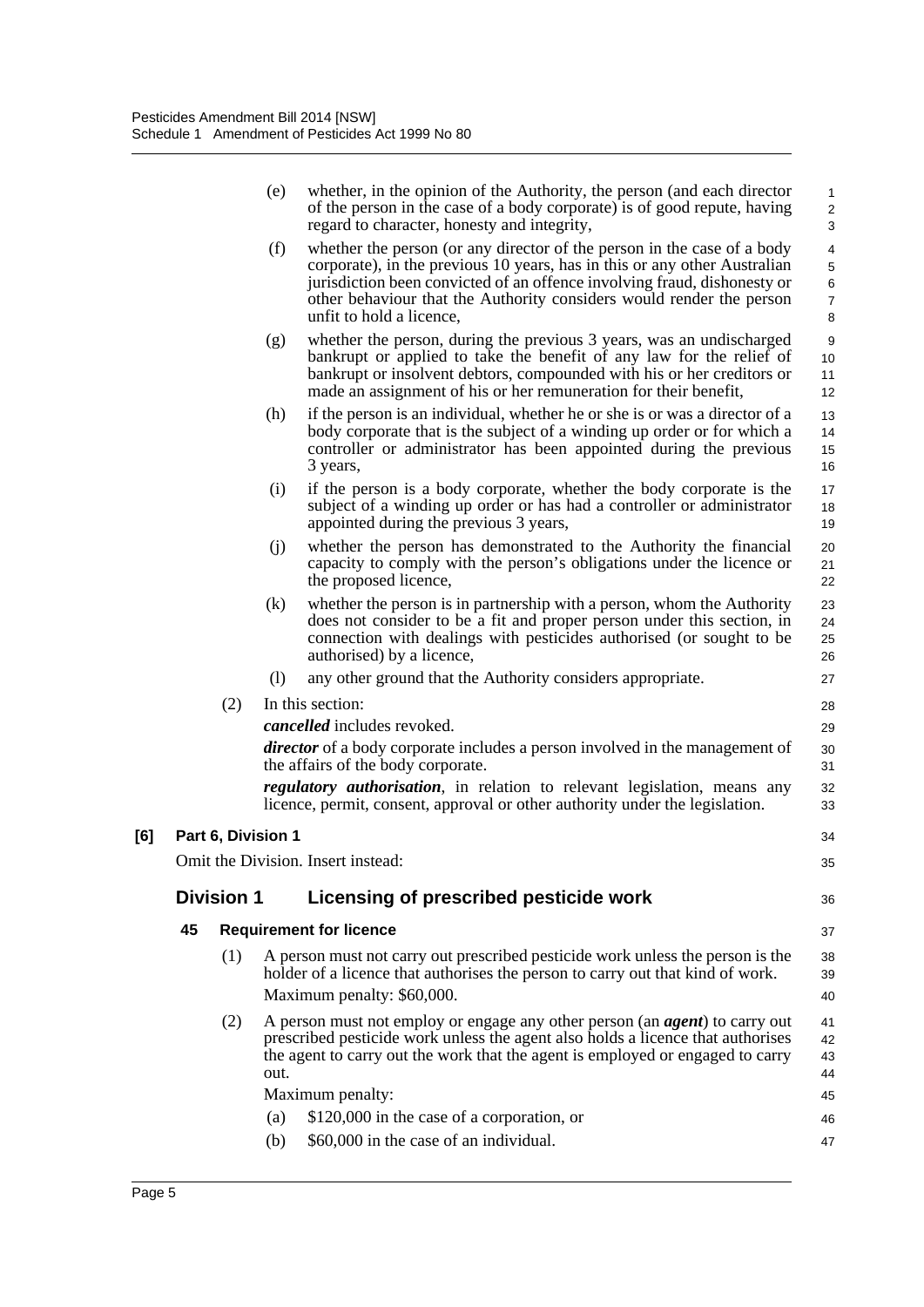|     |    |                    | (e)  | whether, in the opinion of the Authority, the person (and each director<br>of the person in the case of a body corporate) is of good repute, having<br>regard to character, honesty and integrity,                                                                                                                                   | $\mathbf{1}$<br>$\overline{c}$<br>3      |
|-----|----|--------------------|------|--------------------------------------------------------------------------------------------------------------------------------------------------------------------------------------------------------------------------------------------------------------------------------------------------------------------------------------|------------------------------------------|
|     |    |                    | (f)  | whether the person (or any director of the person in the case of a body<br>corporate), in the previous 10 years, has in this or any other Australian<br>jurisdiction been convicted of an offence involving fraud, dishonesty or<br>other behaviour that the Authority considers would render the person<br>unfit to hold a licence, | 4<br>5<br>$\,6$<br>$\boldsymbol{7}$<br>8 |
|     |    |                    | (g)  | whether the person, during the previous 3 years, was an undischarged<br>bankrupt or applied to take the benefit of any law for the relief of<br>bankrupt or insolvent debtors, compounded with his or her creditors or<br>made an assignment of his or her remuneration for their benefit,                                           | 9<br>10<br>11<br>12                      |
|     |    |                    | (h)  | if the person is an individual, whether he or she is or was a director of a<br>body corporate that is the subject of a winding up order or for which a<br>controller or administrator has been appointed during the previous<br>3 years,                                                                                             | 13<br>14<br>15<br>16                     |
|     |    |                    | (i)  | if the person is a body corporate, whether the body corporate is the<br>subject of a winding up order or has had a controller or administrator<br>appointed during the previous 3 years,                                                                                                                                             | 17<br>18<br>19                           |
|     |    |                    | (i)  | whether the person has demonstrated to the Authority the financial<br>capacity to comply with the person's obligations under the licence or<br>the proposed licence,                                                                                                                                                                 | 20<br>21<br>22                           |
|     |    |                    | (k)  | whether the person is in partnership with a person, whom the Authority<br>does not consider to be a fit and proper person under this section, in<br>connection with dealings with pesticides authorised (or sought to be<br>authorised) by a licence,                                                                                | 23<br>24<br>25<br>26                     |
|     |    |                    | (1)  | any other ground that the Authority considers appropriate.                                                                                                                                                                                                                                                                           | 27                                       |
|     |    | (2)                |      | In this section:                                                                                                                                                                                                                                                                                                                     | 28                                       |
|     |    |                    |      | cancelled includes revoked.                                                                                                                                                                                                                                                                                                          | 29                                       |
|     |    |                    |      | <i>director</i> of a body corporate includes a person involved in the management of<br>the affairs of the body corporate.                                                                                                                                                                                                            | 30<br>31                                 |
|     |    |                    |      | <i>regulatory authorisation</i> , in relation to relevant legislation, means any<br>licence, permit, consent, approval or other authority under the legislation.                                                                                                                                                                     | 32<br>33                                 |
| [6] |    | Part 6, Division 1 |      |                                                                                                                                                                                                                                                                                                                                      | 34                                       |
|     |    |                    |      | Omit the Division. Insert instead:                                                                                                                                                                                                                                                                                                   | 35                                       |
|     |    | <b>Division 1</b>  |      | Licensing of prescribed pesticide work                                                                                                                                                                                                                                                                                               | 36                                       |
|     | 45 |                    |      | <b>Requirement for licence</b>                                                                                                                                                                                                                                                                                                       | 37                                       |
|     |    | (1)                |      | A person must not carry out prescribed pesticide work unless the person is the<br>holder of a licence that authorises the person to carry out that kind of work.                                                                                                                                                                     | 38<br>39                                 |
|     |    |                    |      | Maximum penalty: \$60,000.                                                                                                                                                                                                                                                                                                           | 40                                       |
|     |    | (2)                | out. | A person must not employ or engage any other person (an <i>agent</i> ) to carry out<br>prescribed pesticide work unless the agent also holds a licence that authorises<br>the agent to carry out the work that the agent is employed or engaged to carry                                                                             | 41<br>42<br>43<br>44                     |
|     |    |                    |      | Maximum penalty:                                                                                                                                                                                                                                                                                                                     | 45                                       |
|     |    |                    | (a)  | \$120,000 in the case of a corporation, or                                                                                                                                                                                                                                                                                           | 46                                       |
|     |    |                    | (b)  | \$60,000 in the case of an individual.                                                                                                                                                                                                                                                                                               | 47                                       |
|     |    |                    |      |                                                                                                                                                                                                                                                                                                                                      |                                          |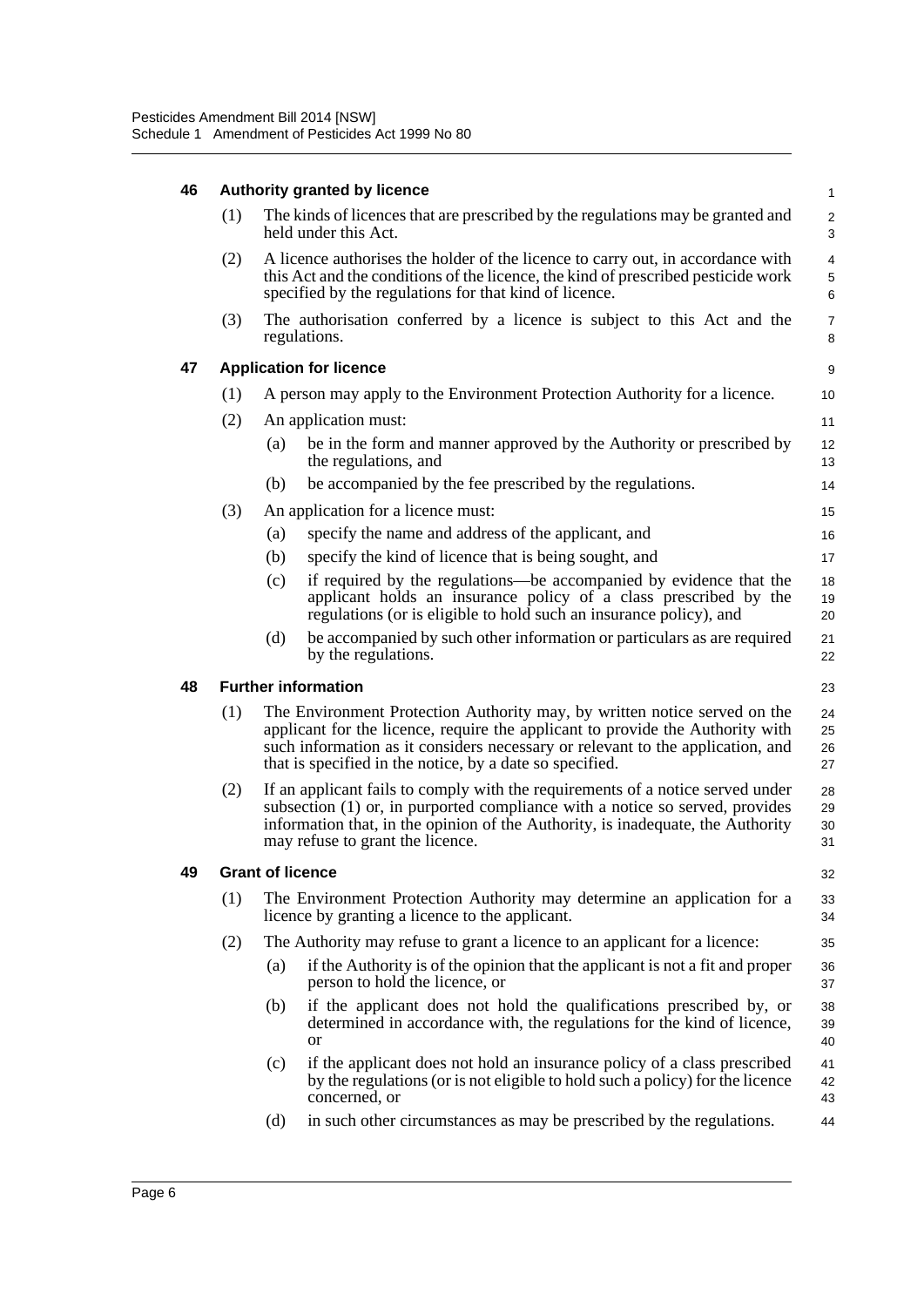| 46 | <b>Authority granted by licence</b><br>$\mathbf{1}$ |                                                                                                                                                                                                                                |                                                                                                                                                                                                                                                                                                           |                            |  |  |  |  |  |
|----|-----------------------------------------------------|--------------------------------------------------------------------------------------------------------------------------------------------------------------------------------------------------------------------------------|-----------------------------------------------------------------------------------------------------------------------------------------------------------------------------------------------------------------------------------------------------------------------------------------------------------|----------------------------|--|--|--|--|--|
|    | (1)                                                 |                                                                                                                                                                                                                                | The kinds of licences that are prescribed by the regulations may be granted and<br>held under this Act.                                                                                                                                                                                                   | $\overline{2}$<br>3        |  |  |  |  |  |
|    | (2)                                                 | A licence authorises the holder of the licence to carry out, in accordance with<br>this Act and the conditions of the licence, the kind of prescribed pesticide work<br>specified by the regulations for that kind of licence. |                                                                                                                                                                                                                                                                                                           |                            |  |  |  |  |  |
|    | (3)                                                 | The authorisation conferred by a licence is subject to this Act and the<br>regulations.                                                                                                                                        |                                                                                                                                                                                                                                                                                                           |                            |  |  |  |  |  |
| 47 |                                                     | <b>Application for licence</b>                                                                                                                                                                                                 |                                                                                                                                                                                                                                                                                                           |                            |  |  |  |  |  |
|    | (1)                                                 |                                                                                                                                                                                                                                | A person may apply to the Environment Protection Authority for a licence.                                                                                                                                                                                                                                 | 10                         |  |  |  |  |  |
|    | (2)                                                 |                                                                                                                                                                                                                                | An application must:                                                                                                                                                                                                                                                                                      | 11                         |  |  |  |  |  |
|    |                                                     | (a)                                                                                                                                                                                                                            | be in the form and manner approved by the Authority or prescribed by<br>the regulations, and                                                                                                                                                                                                              | 12<br>13                   |  |  |  |  |  |
|    |                                                     | (b)                                                                                                                                                                                                                            | be accompanied by the fee prescribed by the regulations.                                                                                                                                                                                                                                                  | 14                         |  |  |  |  |  |
|    | (3)                                                 |                                                                                                                                                                                                                                | An application for a licence must:                                                                                                                                                                                                                                                                        | 15                         |  |  |  |  |  |
|    |                                                     | (a)                                                                                                                                                                                                                            | specify the name and address of the applicant, and                                                                                                                                                                                                                                                        | 16                         |  |  |  |  |  |
|    |                                                     | (b)                                                                                                                                                                                                                            | specify the kind of licence that is being sought, and                                                                                                                                                                                                                                                     | 17                         |  |  |  |  |  |
|    |                                                     | (c)                                                                                                                                                                                                                            | if required by the regulations—be accompanied by evidence that the<br>applicant holds an insurance policy of a class prescribed by the<br>regulations (or is eligible to hold such an insurance policy), and                                                                                              | 18<br>19<br>20             |  |  |  |  |  |
|    |                                                     | (d)                                                                                                                                                                                                                            | be accompanied by such other information or particulars as are required<br>by the regulations.                                                                                                                                                                                                            | 21<br>22                   |  |  |  |  |  |
|    |                                                     |                                                                                                                                                                                                                                |                                                                                                                                                                                                                                                                                                           |                            |  |  |  |  |  |
| 48 |                                                     |                                                                                                                                                                                                                                | <b>Further information</b>                                                                                                                                                                                                                                                                                |                            |  |  |  |  |  |
|    | (1)                                                 |                                                                                                                                                                                                                                | The Environment Protection Authority may, by written notice served on the<br>applicant for the licence, require the applicant to provide the Authority with<br>such information as it considers necessary or relevant to the application, and<br>that is specified in the notice, by a date so specified. | 23<br>24<br>25<br>26<br>27 |  |  |  |  |  |
|    | (2)                                                 |                                                                                                                                                                                                                                | If an applicant fails to comply with the requirements of a notice served under<br>subsection (1) or, in purported compliance with a notice so served, provides<br>information that, in the opinion of the Authority, is inadequate, the Authority<br>may refuse to grant the licence.                     | 28<br>29<br>30<br>31       |  |  |  |  |  |
| 49 |                                                     | <b>Grant of licence</b>                                                                                                                                                                                                        |                                                                                                                                                                                                                                                                                                           | 32                         |  |  |  |  |  |
|    | (1)                                                 |                                                                                                                                                                                                                                | The Environment Protection Authority may determine an application for a<br>licence by granting a licence to the applicant.                                                                                                                                                                                |                            |  |  |  |  |  |
|    | (2)                                                 |                                                                                                                                                                                                                                | The Authority may refuse to grant a licence to an applicant for a licence:                                                                                                                                                                                                                                | 33<br>34<br>35             |  |  |  |  |  |
|    |                                                     | (a)                                                                                                                                                                                                                            | if the Authority is of the opinion that the applicant is not a fit and proper<br>person to hold the licence, or                                                                                                                                                                                           | 36<br>37                   |  |  |  |  |  |
|    |                                                     | (b)                                                                                                                                                                                                                            | if the applicant does not hold the qualifications prescribed by, or<br>determined in accordance with, the regulations for the kind of licence,<br><b>or</b>                                                                                                                                               | 38<br>39<br>40             |  |  |  |  |  |
|    |                                                     | (c)                                                                                                                                                                                                                            | if the applicant does not hold an insurance policy of a class prescribed<br>by the regulations (or is not eligible to hold such a policy) for the licence<br>concerned, or                                                                                                                                | 41<br>42<br>43             |  |  |  |  |  |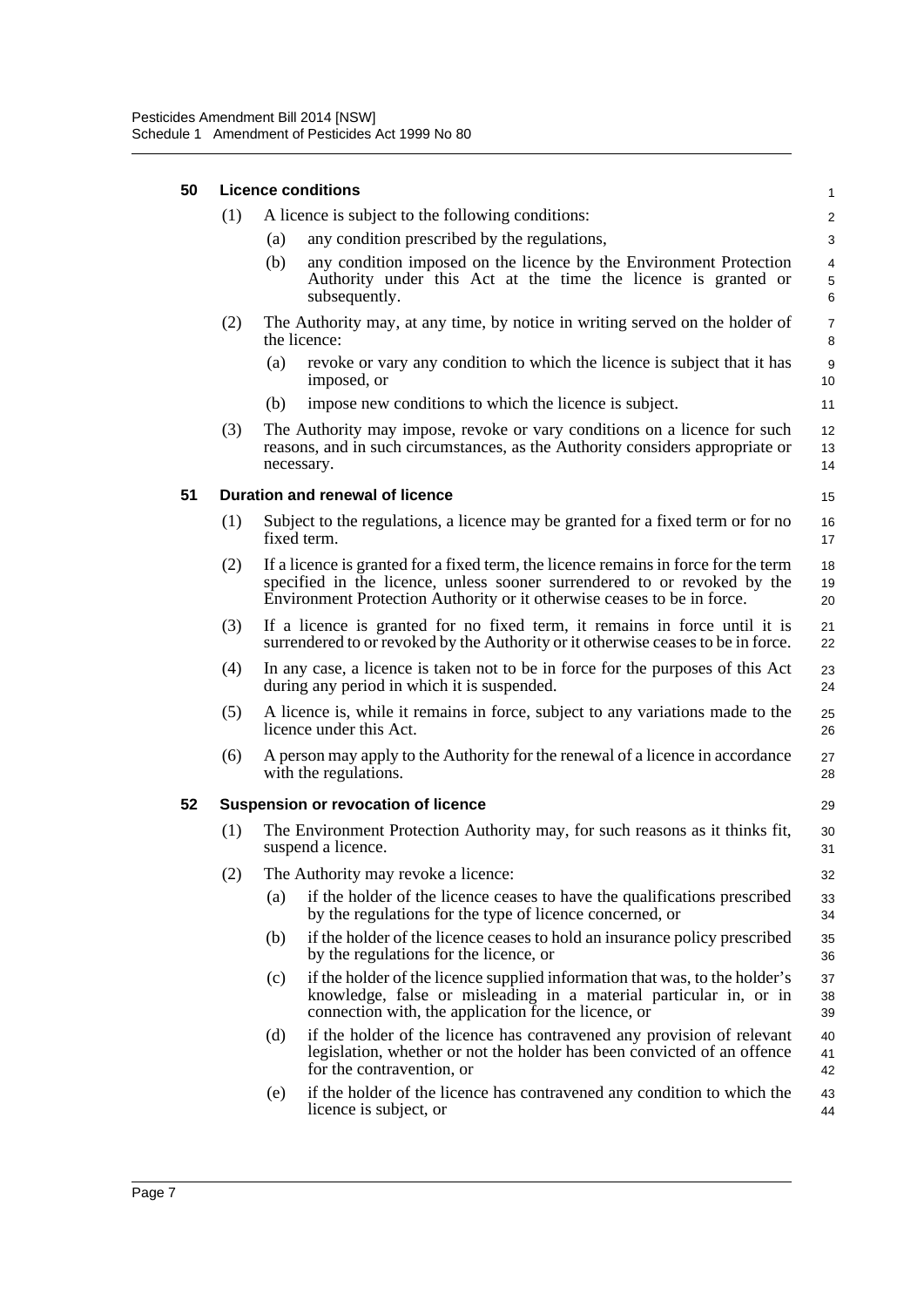| 50 | <b>Licence conditions</b> |                                                                                                                                                                                                                                            |                |  |  |  |  |
|----|---------------------------|--------------------------------------------------------------------------------------------------------------------------------------------------------------------------------------------------------------------------------------------|----------------|--|--|--|--|
|    | (1)                       | A licence is subject to the following conditions:                                                                                                                                                                                          | 2              |  |  |  |  |
|    |                           | any condition prescribed by the regulations,<br>(a)                                                                                                                                                                                        | 3              |  |  |  |  |
|    |                           | any condition imposed on the licence by the Environment Protection<br>(b)<br>Authority under this Act at the time the licence is granted or<br>subsequently.                                                                               | 4<br>5<br>6    |  |  |  |  |
|    | (2)                       | The Authority may, at any time, by notice in writing served on the holder of<br>the licence:                                                                                                                                               |                |  |  |  |  |
|    |                           | revoke or vary any condition to which the licence is subject that it has<br>(a)<br>imposed, or                                                                                                                                             | 9<br>10        |  |  |  |  |
|    |                           | impose new conditions to which the licence is subject.<br>(b)                                                                                                                                                                              | 11             |  |  |  |  |
|    | (3)                       | The Authority may impose, revoke or vary conditions on a licence for such<br>reasons, and in such circumstances, as the Authority considers appropriate or<br>necessary.                                                                   | 12<br>13<br>14 |  |  |  |  |
| 51 |                           | Duration and renewal of licence                                                                                                                                                                                                            | 15             |  |  |  |  |
|    | (1)                       | Subject to the regulations, a licence may be granted for a fixed term or for no<br>fixed term.                                                                                                                                             | 16<br>17       |  |  |  |  |
|    | (2)                       | If a licence is granted for a fixed term, the licence remains in force for the term<br>specified in the licence, unless sooner surrendered to or revoked by the<br>Environment Protection Authority or it otherwise ceases to be in force. | 18<br>19<br>20 |  |  |  |  |
|    | (3)                       | If a licence is granted for no fixed term, it remains in force until it is<br>surrendered to or revoked by the Authority or it otherwise ceases to be in force.                                                                            | 21<br>22       |  |  |  |  |
|    | (4)                       | In any case, a licence is taken not to be in force for the purposes of this Act<br>during any period in which it is suspended.                                                                                                             | 23<br>24       |  |  |  |  |
|    | (5)                       | A licence is, while it remains in force, subject to any variations made to the<br>licence under this Act.                                                                                                                                  | 25<br>26       |  |  |  |  |
|    | (6)                       | A person may apply to the Authority for the renewal of a licence in accordance<br>with the regulations.                                                                                                                                    |                |  |  |  |  |
| 52 |                           | <b>Suspension or revocation of licence</b>                                                                                                                                                                                                 | 29             |  |  |  |  |
|    | (1)                       | The Environment Protection Authority may, for such reasons as it thinks fit,<br>suspend a licence.                                                                                                                                         | 30<br>31       |  |  |  |  |
|    | (2)                       | The Authority may revoke a licence:                                                                                                                                                                                                        | 32             |  |  |  |  |
|    |                           | if the holder of the licence ceases to have the qualifications prescribed<br>(a)<br>by the regulations for the type of licence concerned, or                                                                                               | 33<br>34       |  |  |  |  |
|    |                           | if the holder of the licence ceases to hold an insurance policy prescribed<br>(b)<br>by the regulations for the licence, or                                                                                                                | 35<br>36       |  |  |  |  |
|    |                           | if the holder of the licence supplied information that was, to the holder's<br>(c)<br>knowledge, false or misleading in a material particular in, or in<br>connection with, the application for the licence, or                            | 37<br>38<br>39 |  |  |  |  |
|    |                           | if the holder of the licence has contravened any provision of relevant<br>(d)<br>legislation, whether or not the holder has been convicted of an offence<br>for the contravention, or                                                      | 40<br>41<br>42 |  |  |  |  |
|    |                           | if the holder of the licence has contravened any condition to which the<br>(e)<br>licence is subject, or                                                                                                                                   | 43<br>44       |  |  |  |  |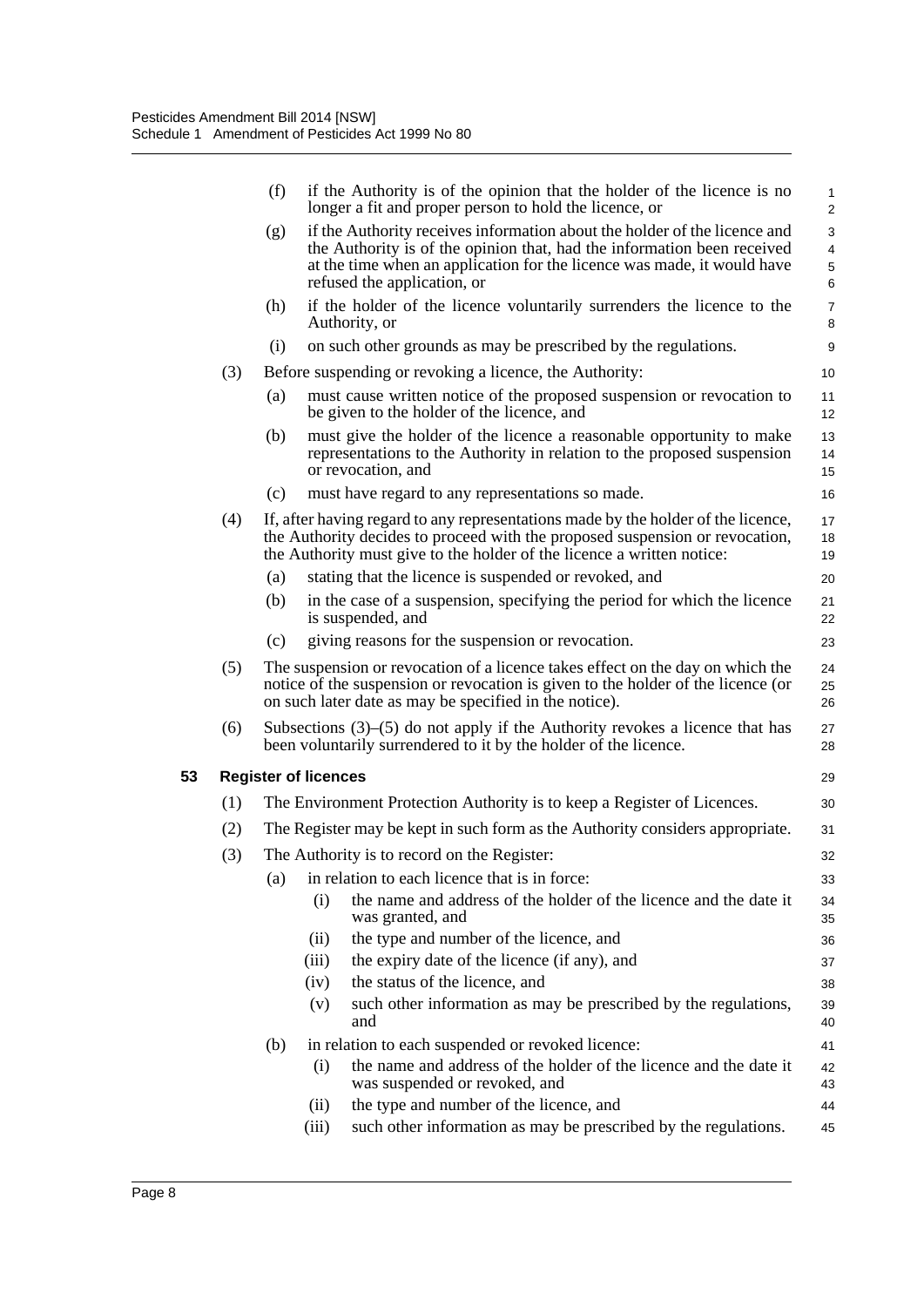|     | (f) |                             | if the Authority is of the opinion that the holder of the licence is no<br>longer a fit and proper person to hold the licence, or                                                                                                           | 1<br>$\overline{2}$ |
|-----|-----|-----------------------------|---------------------------------------------------------------------------------------------------------------------------------------------------------------------------------------------------------------------------------------------|---------------------|
|     | (g) |                             | if the Authority receives information about the holder of the licence and<br>the Authority is of the opinion that, had the information been received<br>at the time when an application for the licence was made, it would have             | 3<br>4<br>5         |
|     |     |                             | refused the application, or                                                                                                                                                                                                                 | 6                   |
|     | (h) |                             | if the holder of the licence voluntarily surrenders the licence to the<br>Authority, or                                                                                                                                                     | $\overline{7}$<br>8 |
|     | (i) |                             | on such other grounds as may be prescribed by the regulations.                                                                                                                                                                              | 9                   |
| (3) |     |                             | Before suspending or revoking a licence, the Authority:                                                                                                                                                                                     | 10                  |
|     | (a) |                             | must cause written notice of the proposed suspension or revocation to<br>be given to the holder of the licence, and                                                                                                                         | 11<br>12            |
|     | (b) |                             | must give the holder of the licence a reasonable opportunity to make<br>representations to the Authority in relation to the proposed suspension<br>or revocation, and                                                                       | 13<br>14<br>15      |
|     | (c) |                             | must have regard to any representations so made.                                                                                                                                                                                            | 16                  |
| (4) |     |                             | If, after having regard to any representations made by the holder of the licence,<br>the Authority decides to proceed with the proposed suspension or revocation,<br>the Authority must give to the holder of the licence a written notice: | 17<br>18<br>19      |
|     | (a) |                             | stating that the licence is suspended or revoked, and                                                                                                                                                                                       | 20                  |
|     | (b) |                             | in the case of a suspension, specifying the period for which the licence<br>is suspended, and                                                                                                                                               | 21<br>22            |
|     | (c) |                             | giving reasons for the suspension or revocation.                                                                                                                                                                                            | 23                  |
| (5) |     |                             | The suspension or revocation of a licence takes effect on the day on which the<br>notice of the suspension or revocation is given to the holder of the licence (or<br>on such later date as may be specified in the notice).                | 24<br>25<br>26      |
| (6) |     |                             | Subsections $(3)$ – $(5)$ do not apply if the Authority revokes a licence that has<br>been voluntarily surrendered to it by the holder of the licence.                                                                                      | 27<br>28            |
|     |     | <b>Register of licences</b> |                                                                                                                                                                                                                                             | 29                  |
| (1) |     |                             | The Environment Protection Authority is to keep a Register of Licences.                                                                                                                                                                     | 30                  |
| (2) |     |                             | The Register may be kept in such form as the Authority considers appropriate.                                                                                                                                                               | 31                  |
| (3) |     |                             | The Authority is to record on the Register:                                                                                                                                                                                                 | 32                  |
|     | (a) |                             | in relation to each licence that is in force:                                                                                                                                                                                               | 33                  |
|     |     | (i)                         | the name and address of the holder of the licence and the date it<br>was granted, and                                                                                                                                                       | 34<br>35            |
|     |     | (ii)                        | the type and number of the licence, and                                                                                                                                                                                                     | 36                  |
|     |     | (iii)                       | the expiry date of the licence (if any), and                                                                                                                                                                                                | 37                  |
|     |     | (iv)                        | the status of the licence, and                                                                                                                                                                                                              | 38                  |
|     |     | (v)                         | such other information as may be prescribed by the regulations,<br>and                                                                                                                                                                      | 39<br>40            |
|     | (b) |                             | in relation to each suspended or revoked licence:                                                                                                                                                                                           | 41                  |
|     |     | (i)                         | the name and address of the holder of the licence and the date it<br>was suspended or revoked, and                                                                                                                                          | 42<br>43            |
|     |     | (ii)                        | the type and number of the licence, and                                                                                                                                                                                                     | 44                  |
|     |     | (iii)                       | such other information as may be prescribed by the regulations.                                                                                                                                                                             | 45                  |
|     |     |                             |                                                                                                                                                                                                                                             |                     |

**53 Register of licences**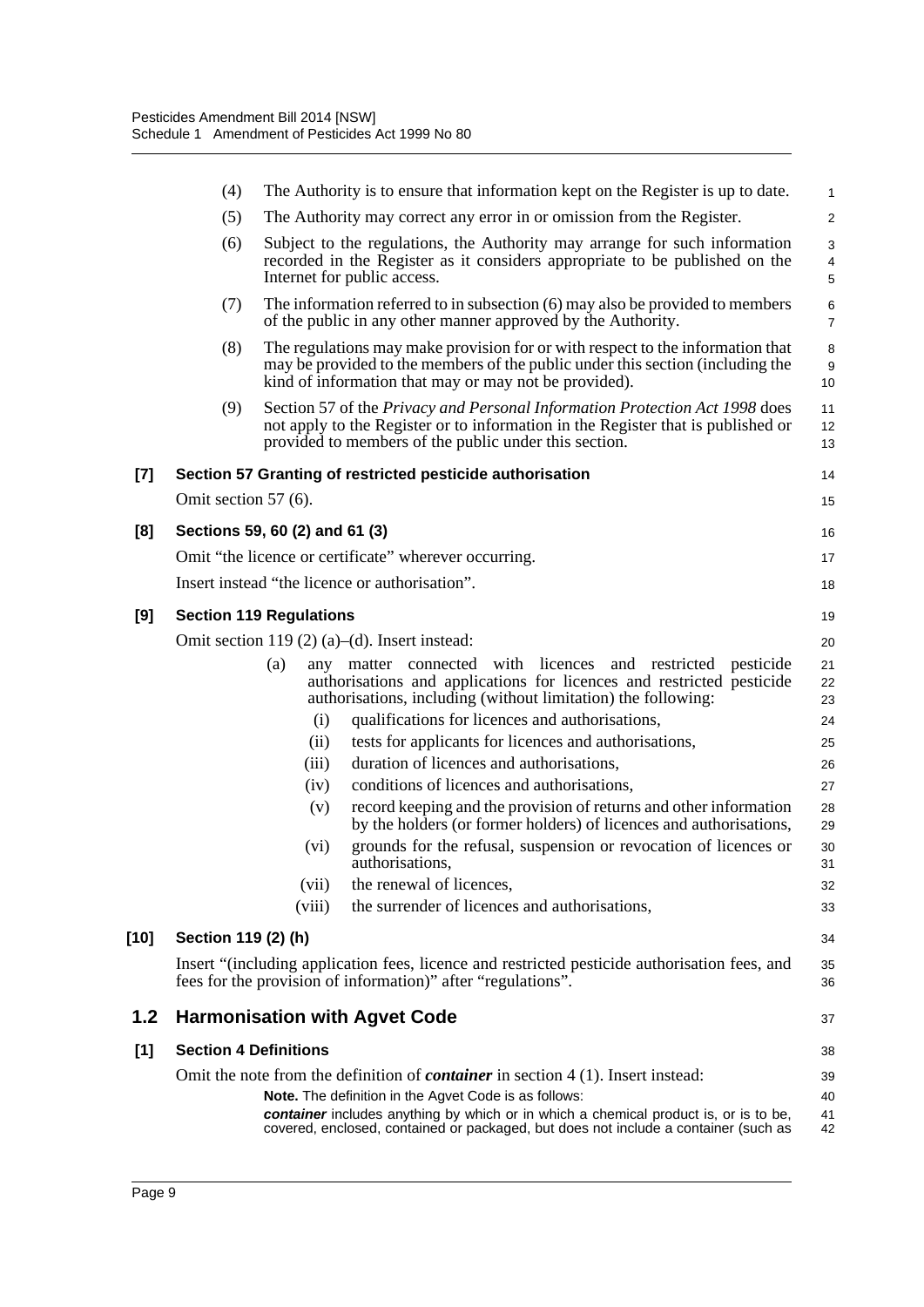|       | (4)                          |                                | The Authority is to ensure that information kept on the Register is up to date.                                                                                                                                           | $\mathbf{1}$        |
|-------|------------------------------|--------------------------------|---------------------------------------------------------------------------------------------------------------------------------------------------------------------------------------------------------------------------|---------------------|
|       | (5)                          |                                | The Authority may correct any error in or omission from the Register.                                                                                                                                                     | $\overline{2}$      |
|       | (6)                          |                                | Subject to the regulations, the Authority may arrange for such information<br>recorded in the Register as it considers appropriate to be published on the<br>Internet for public access.                                  | 3<br>4<br>5         |
|       | (7)                          |                                | The information referred to in subsection $(6)$ may also be provided to members<br>of the public in any other manner approved by the Authority.                                                                           | 6<br>$\overline{7}$ |
|       | (8)                          |                                | The regulations may make provision for or with respect to the information that<br>may be provided to the members of the public under this section (including the<br>kind of information that may or may not be provided). | 8<br>$9\,$<br>10    |
|       | (9)                          |                                | Section 57 of the Privacy and Personal Information Protection Act 1998 does<br>not apply to the Register or to information in the Register that is published or<br>provided to members of the public under this section.  | 11<br>12<br>13      |
| $[7]$ |                              |                                | Section 57 Granting of restricted pesticide authorisation                                                                                                                                                                 | 14                  |
|       | Omit section 57 (6).         |                                |                                                                                                                                                                                                                           | 15                  |
| [8]   |                              | Sections 59, 60 (2) and 61 (3) |                                                                                                                                                                                                                           | 16                  |
|       |                              |                                | Omit "the licence or certificate" wherever occurring.                                                                                                                                                                     | 17                  |
|       |                              |                                | Insert instead "the licence or authorisation".                                                                                                                                                                            | 18                  |
| [9]   |                              | <b>Section 119 Regulations</b> |                                                                                                                                                                                                                           | 19                  |
|       |                              |                                | Omit section 119 $(2)$ (a)–(d). Insert instead:                                                                                                                                                                           | 20                  |
|       |                              | (a)                            | any matter connected with licences and restricted<br>pesticide<br>authorisations and applications for licences and restricted pesticide<br>authorisations, including (without limitation) the following:                  | 21<br>22<br>23      |
|       |                              | (i)                            | qualifications for licences and authorisations,                                                                                                                                                                           | 24                  |
|       |                              | (ii)                           | tests for applicants for licences and authorisations,                                                                                                                                                                     | 25                  |
|       |                              | (iii)                          | duration of licences and authorisations,                                                                                                                                                                                  | 26                  |
|       |                              | (iv)                           | conditions of licences and authorisations,                                                                                                                                                                                | 27                  |
|       |                              | (v)                            | record keeping and the provision of returns and other information<br>by the holders (or former holders) of licences and authorisations,                                                                                   | 28<br>29            |
|       |                              | (vi)                           | grounds for the refusal, suspension or revocation of licences or<br>authorisations,                                                                                                                                       | 30<br>31            |
|       |                              | (vii)                          | the renewal of licences,                                                                                                                                                                                                  | 32                  |
|       |                              | (viii)                         | the surrender of licences and authorisations,                                                                                                                                                                             | 33                  |
| [10]  | Section 119 (2) (h)          |                                |                                                                                                                                                                                                                           | 34                  |
|       |                              |                                | Insert "(including application fees, licence and restricted pesticide authorisation fees, and<br>fees for the provision of information)" after "regulations".                                                             | 35<br>36            |
| 1.2   |                              |                                | <b>Harmonisation with Agvet Code</b>                                                                                                                                                                                      | 37                  |
| [1]   | <b>Section 4 Definitions</b> |                                |                                                                                                                                                                                                                           | 38                  |
|       |                              |                                | Omit the note from the definition of <i>container</i> in section $4(1)$ . Insert instead:                                                                                                                                 | 39                  |
|       |                              |                                | Note. The definition in the Agvet Code is as follows:                                                                                                                                                                     | 40                  |
|       |                              |                                | container includes anything by which or in which a chemical product is, or is to be,<br>covered, enclosed, contained or packaged, but does not include a container (such as                                               | 41<br>42            |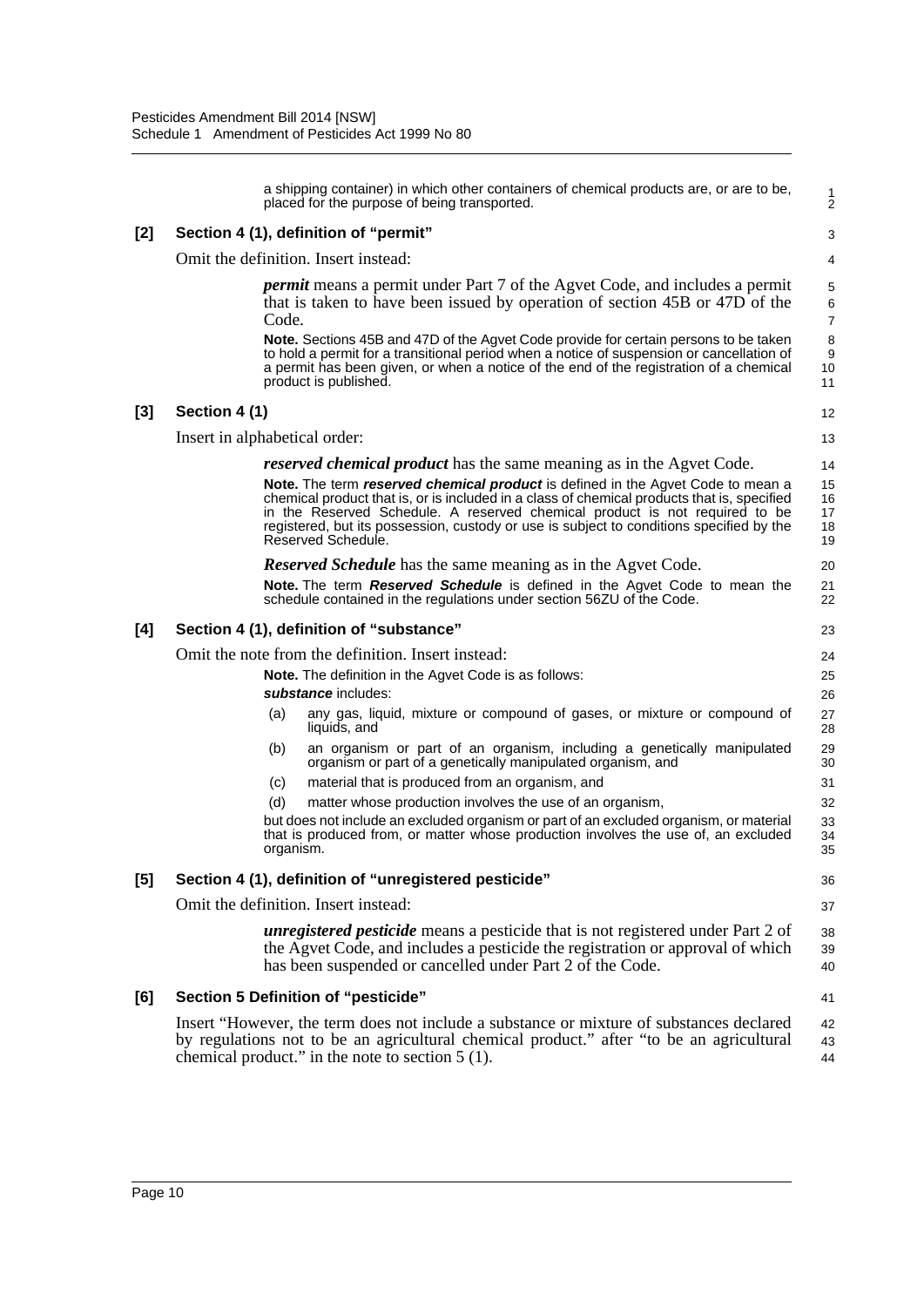| a shipping container) in which other containers of chemical products are, or are to be,<br>placed for the purpose of being transported.                                                                                                                                                                                                                                         | 1<br>$\overline{2}$                                                                                                                                                   |  |  |  |  |  |
|---------------------------------------------------------------------------------------------------------------------------------------------------------------------------------------------------------------------------------------------------------------------------------------------------------------------------------------------------------------------------------|-----------------------------------------------------------------------------------------------------------------------------------------------------------------------|--|--|--|--|--|
| Section 4 (1), definition of "permit"                                                                                                                                                                                                                                                                                                                                           | 3                                                                                                                                                                     |  |  |  |  |  |
| Omit the definition. Insert instead:                                                                                                                                                                                                                                                                                                                                            |                                                                                                                                                                       |  |  |  |  |  |
| <i>permit</i> means a permit under Part 7 of the Agvet Code, and includes a permit<br>that is taken to have been issued by operation of section 45B or 47D of the<br>Code.                                                                                                                                                                                                      | 5<br>6<br>$\boldsymbol{7}$                                                                                                                                            |  |  |  |  |  |
| <b>Note.</b> Sections 45B and 47D of the Agvet Code provide for certain persons to be taken<br>to hold a permit for a transitional period when a notice of suspension or cancellation of<br>a permit has been given, or when a notice of the end of the registration of a chemical<br>product is published.                                                                     | 8<br>9<br>10<br>11                                                                                                                                                    |  |  |  |  |  |
| Section 4 (1)                                                                                                                                                                                                                                                                                                                                                                   | 12                                                                                                                                                                    |  |  |  |  |  |
| Insert in alphabetical order:                                                                                                                                                                                                                                                                                                                                                   | 13                                                                                                                                                                    |  |  |  |  |  |
|                                                                                                                                                                                                                                                                                                                                                                                 | 14                                                                                                                                                                    |  |  |  |  |  |
| Note. The term reserved chemical product is defined in the Agvet Code to mean a<br>chemical product that is, or is included in a class of chemical products that is, specified<br>in the Reserved Schedule. A reserved chemical product is not required to be<br>registered, but its possession, custody or use is subject to conditions specified by the<br>Reserved Schedule. | 15<br>16<br>17<br>18<br>19                                                                                                                                            |  |  |  |  |  |
| <b>Reserved Schedule</b> has the same meaning as in the Agvet Code.                                                                                                                                                                                                                                                                                                             | 20                                                                                                                                                                    |  |  |  |  |  |
| <b>Note.</b> The term <b>Reserved Schedule</b> is defined in the Agvet Code to mean the<br>schedule contained in the regulations under section 56ZU of the Code.                                                                                                                                                                                                                | 21<br>22                                                                                                                                                              |  |  |  |  |  |
| Section 4 (1), definition of "substance"                                                                                                                                                                                                                                                                                                                                        | 23                                                                                                                                                                    |  |  |  |  |  |
| Omit the note from the definition. Insert instead:                                                                                                                                                                                                                                                                                                                              | 24                                                                                                                                                                    |  |  |  |  |  |
| Note. The definition in the Agvet Code is as follows:                                                                                                                                                                                                                                                                                                                           | 25                                                                                                                                                                    |  |  |  |  |  |
| substance includes:                                                                                                                                                                                                                                                                                                                                                             | 26                                                                                                                                                                    |  |  |  |  |  |
| (a)<br>any gas, liquid, mixture or compound of gases, or mixture or compound of<br>liquids, and                                                                                                                                                                                                                                                                                 | 27<br>28                                                                                                                                                              |  |  |  |  |  |
| an organism or part of an organism, including a genetically manipulated<br>(b)<br>organism or part of a genetically manipulated organism, and                                                                                                                                                                                                                                   | 29<br>30                                                                                                                                                              |  |  |  |  |  |
| material that is produced from an organism, and<br>(c)                                                                                                                                                                                                                                                                                                                          | 31                                                                                                                                                                    |  |  |  |  |  |
| (d)<br>matter whose production involves the use of an organism,                                                                                                                                                                                                                                                                                                                 | 32                                                                                                                                                                    |  |  |  |  |  |
| that is produced from, or matter whose production involves the use of, an excluded<br>organism.                                                                                                                                                                                                                                                                                 | 33<br>34<br>35                                                                                                                                                        |  |  |  |  |  |
| Section 4 (1), definition of "unregistered pesticide"                                                                                                                                                                                                                                                                                                                           | 36                                                                                                                                                                    |  |  |  |  |  |
| Omit the definition. Insert instead:                                                                                                                                                                                                                                                                                                                                            | 37                                                                                                                                                                    |  |  |  |  |  |
| <i>unregistered pesticide</i> means a pesticide that is not registered under Part 2 of<br>the Agvet Code, and includes a pesticide the registration or approval of which<br>has been suspended or cancelled under Part 2 of the Code.                                                                                                                                           | 38<br>39<br>40                                                                                                                                                        |  |  |  |  |  |
| Section 5 Definition of "pesticide"                                                                                                                                                                                                                                                                                                                                             | 41                                                                                                                                                                    |  |  |  |  |  |
| Insert "However, the term does not include a substance or mixture of substances declared<br>by regulations not to be an agricultural chemical product." after "to be an agricultural<br>chemical product." in the note to section $5(1)$ .                                                                                                                                      | 42<br>43<br>44                                                                                                                                                        |  |  |  |  |  |
|                                                                                                                                                                                                                                                                                                                                                                                 | <i>reserved chemical product</i> has the same meaning as in the Agvet Code.<br>but does not include an excluded organism or part of an excluded organism, or material |  |  |  |  |  |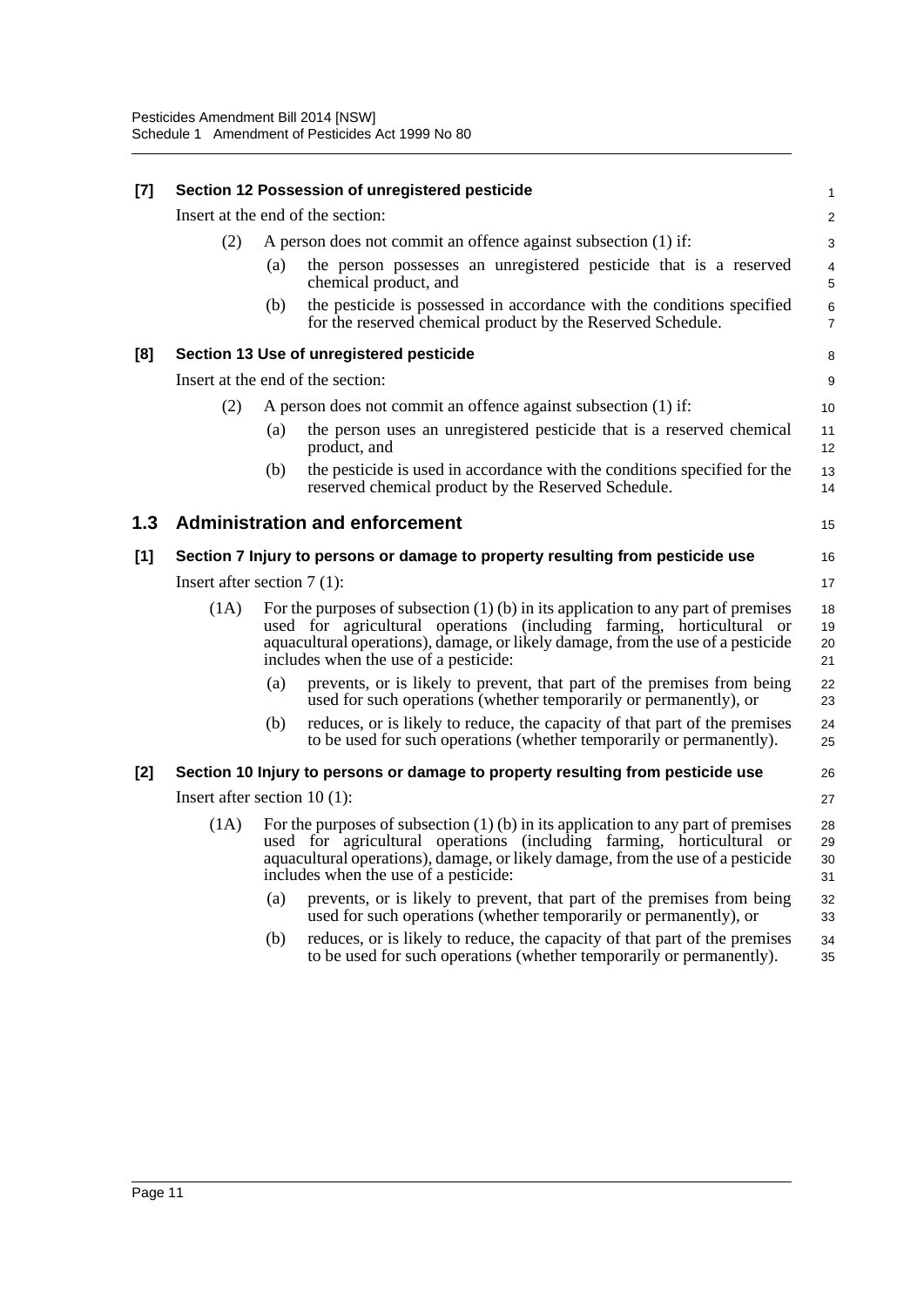| $[7]$ | Section 12 Possession of unregistered pesticide                       |     |                                                                                                                                                                                                                                                                                          |                         |  |
|-------|-----------------------------------------------------------------------|-----|------------------------------------------------------------------------------------------------------------------------------------------------------------------------------------------------------------------------------------------------------------------------------------------|-------------------------|--|
|       |                                                                       |     | Insert at the end of the section:                                                                                                                                                                                                                                                        | $\overline{c}$          |  |
|       | (2)<br>A person does not commit an offence against subsection (1) if: |     |                                                                                                                                                                                                                                                                                          |                         |  |
|       |                                                                       | (a) | the person possesses an unregistered pesticide that is a reserved<br>chemical product, and                                                                                                                                                                                               | 4<br>$\mathbf 5$        |  |
|       |                                                                       | (b) | the pesticide is possessed in accordance with the conditions specified<br>for the reserved chemical product by the Reserved Schedule.                                                                                                                                                    | $\,6$<br>$\overline{7}$ |  |
| [8]   |                                                                       |     | Section 13 Use of unregistered pesticide                                                                                                                                                                                                                                                 | 8                       |  |
|       |                                                                       |     | Insert at the end of the section:                                                                                                                                                                                                                                                        | 9                       |  |
|       | (2)                                                                   |     | A person does not commit an offence against subsection (1) if:                                                                                                                                                                                                                           | 10                      |  |
|       |                                                                       | (a) | the person uses an unregistered pesticide that is a reserved chemical<br>product, and                                                                                                                                                                                                    | 11<br>12                |  |
|       |                                                                       | (b) | the pesticide is used in accordance with the conditions specified for the<br>reserved chemical product by the Reserved Schedule.                                                                                                                                                         | 13<br>14                |  |
| 1.3   |                                                                       |     | <b>Administration and enforcement</b>                                                                                                                                                                                                                                                    | 15                      |  |
| [1]   |                                                                       |     | Section 7 Injury to persons or damage to property resulting from pesticide use                                                                                                                                                                                                           | 16                      |  |
|       | Insert after section $7(1)$ :                                         |     |                                                                                                                                                                                                                                                                                          | 17                      |  |
|       | (1A)                                                                  |     | For the purposes of subsection $(1)$ (b) in its application to any part of premises<br>used for agricultural operations (including farming, horticultural or<br>aquacultural operations), damage, or likely damage, from the use of a pesticide<br>includes when the use of a pesticide: | 18<br>19<br>20<br>21    |  |
|       |                                                                       | (a) | prevents, or is likely to prevent, that part of the premises from being<br>used for such operations (whether temporarily or permanently), or                                                                                                                                             | 22<br>23                |  |
|       |                                                                       | (b) | reduces, or is likely to reduce, the capacity of that part of the premises<br>to be used for such operations (whether temporarily or permanently).                                                                                                                                       | 24<br>25                |  |
| $[2]$ |                                                                       |     | Section 10 Injury to persons or damage to property resulting from pesticide use                                                                                                                                                                                                          | 26                      |  |
|       | Insert after section $10(1)$ :                                        |     |                                                                                                                                                                                                                                                                                          | 27                      |  |
|       | (1A)                                                                  |     | For the purposes of subsection $(1)$ (b) in its application to any part of premises<br>used for agricultural operations (including farming, horticultural or<br>aquacultural operations), damage, or likely damage, from the use of a pesticide<br>includes when the use of a pesticide: | 28<br>29<br>30<br>31    |  |
|       |                                                                       | (a) | prevents, or is likely to prevent, that part of the premises from being<br>used for such operations (whether temporarily or permanently), or                                                                                                                                             | 32<br>33                |  |
|       |                                                                       | (b) | reduces, or is likely to reduce, the capacity of that part of the premises<br>to be used for such operations (whether temporarily or permanently).                                                                                                                                       | 34<br>35                |  |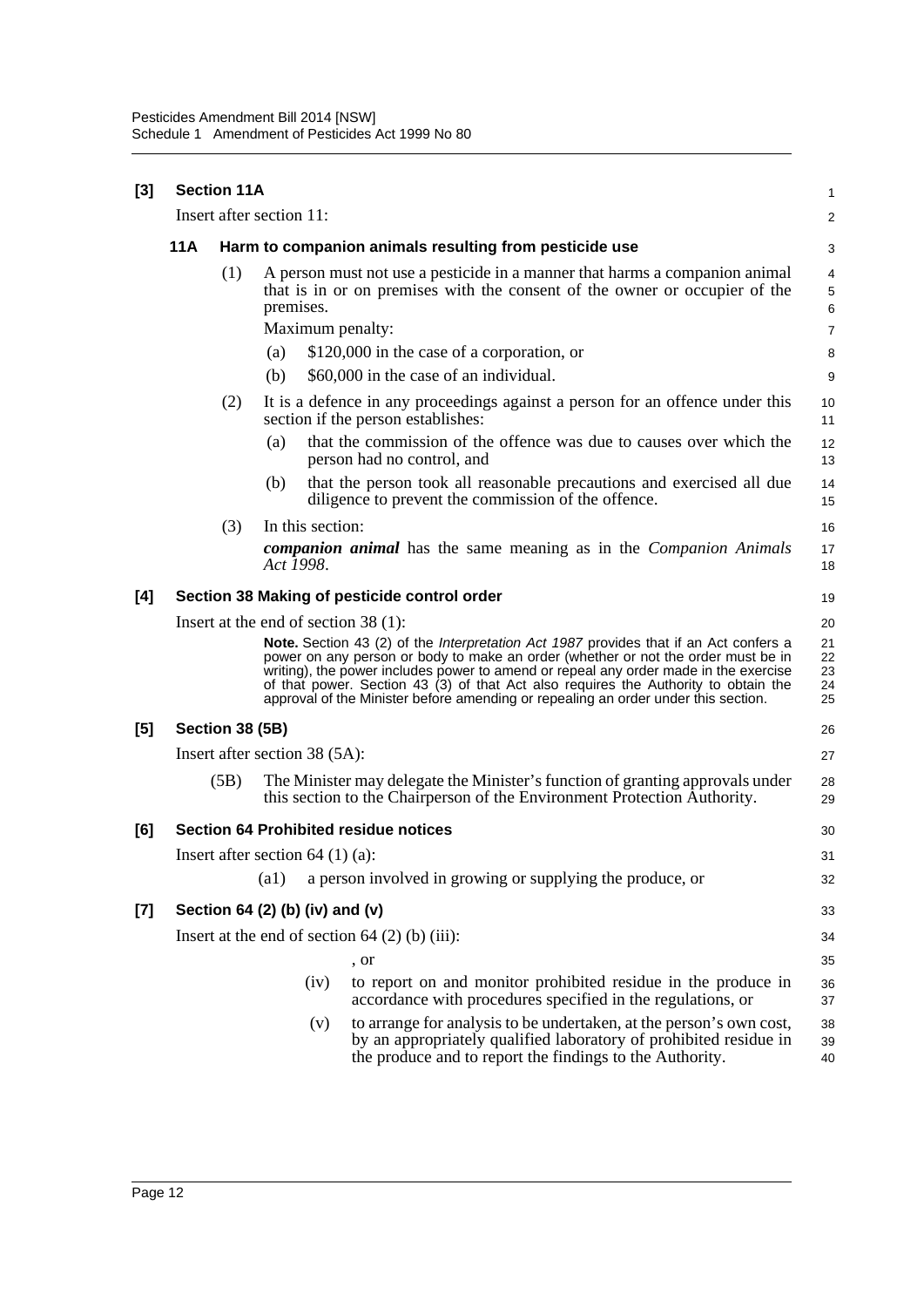| [3] |     | <b>Section 11A</b>                 |           |                  |                                                                                                                                                                                                                                                                                                                                                                                                                                                               | 1                          |  |
|-----|-----|------------------------------------|-----------|------------------|---------------------------------------------------------------------------------------------------------------------------------------------------------------------------------------------------------------------------------------------------------------------------------------------------------------------------------------------------------------------------------------------------------------------------------------------------------------|----------------------------|--|
|     |     | Insert after section 11:           |           |                  |                                                                                                                                                                                                                                                                                                                                                                                                                                                               |                            |  |
|     | 11A |                                    |           |                  | Harm to companion animals resulting from pesticide use                                                                                                                                                                                                                                                                                                                                                                                                        | 3                          |  |
|     |     | (1)                                | premises. |                  | A person must not use a pesticide in a manner that harms a companion animal<br>that is in or on premises with the consent of the owner or occupier of the                                                                                                                                                                                                                                                                                                     | 4<br>5<br>6                |  |
|     |     |                                    |           |                  | Maximum penalty:                                                                                                                                                                                                                                                                                                                                                                                                                                              | $\overline{7}$             |  |
|     |     |                                    | (a)       |                  | \$120,000 in the case of a corporation, or                                                                                                                                                                                                                                                                                                                                                                                                                    | 8                          |  |
|     |     |                                    | (b)       |                  | \$60,000 in the case of an individual.                                                                                                                                                                                                                                                                                                                                                                                                                        | 9                          |  |
|     |     | (2)                                |           |                  | It is a defence in any proceedings against a person for an offence under this<br>section if the person establishes:                                                                                                                                                                                                                                                                                                                                           | 10<br>11                   |  |
|     |     |                                    | (a)       |                  | that the commission of the offence was due to causes over which the<br>person had no control, and                                                                                                                                                                                                                                                                                                                                                             | 12<br>13                   |  |
|     |     |                                    | (b)       |                  | that the person took all reasonable precautions and exercised all due<br>diligence to prevent the commission of the offence.                                                                                                                                                                                                                                                                                                                                  | 14<br>15                   |  |
|     |     | (3)                                |           | In this section: |                                                                                                                                                                                                                                                                                                                                                                                                                                                               | 16                         |  |
|     |     |                                    | Act 1998. |                  | <b>companion animal</b> has the same meaning as in the <i>Companion Animals</i>                                                                                                                                                                                                                                                                                                                                                                               | 17<br>18                   |  |
| [4] |     |                                    |           |                  | Section 38 Making of pesticide control order                                                                                                                                                                                                                                                                                                                                                                                                                  | 19                         |  |
|     |     |                                    |           |                  | Insert at the end of section $38(1)$ :                                                                                                                                                                                                                                                                                                                                                                                                                        | 20                         |  |
|     |     |                                    |           |                  | <b>Note.</b> Section 43 (2) of the <i>Interpretation Act 1987</i> provides that if an Act confers a<br>power on any person or body to make an order (whether or not the order must be in<br>writing), the power includes power to amend or repeal any order made in the exercise<br>of that power. Section 43 (3) of that Act also requires the Authority to obtain the<br>approval of the Minister before amending or repealing an order under this section. | 21<br>22<br>23<br>24<br>25 |  |
| [5] |     | Section 38 (5B)                    |           |                  |                                                                                                                                                                                                                                                                                                                                                                                                                                                               | 26                         |  |
|     |     | Insert after section 38 (5A):      |           |                  |                                                                                                                                                                                                                                                                                                                                                                                                                                                               | 27                         |  |
|     |     | (5B)                               |           |                  | The Minister may delegate the Minister's function of granting approvals under<br>this section to the Chairperson of the Environment Protection Authority.                                                                                                                                                                                                                                                                                                     | 28<br>29                   |  |
| [6] |     |                                    |           |                  | <b>Section 64 Prohibited residue notices</b>                                                                                                                                                                                                                                                                                                                                                                                                                  | 30                         |  |
|     |     | Insert after section $64$ (1) (a): |           |                  |                                                                                                                                                                                                                                                                                                                                                                                                                                                               | 31                         |  |
|     |     |                                    | (a1)      |                  | a person involved in growing or supplying the produce, or                                                                                                                                                                                                                                                                                                                                                                                                     | 32                         |  |
| [7] |     | Section 64 (2) (b) (iv) and (v)    |           |                  |                                                                                                                                                                                                                                                                                                                                                                                                                                                               | 33                         |  |
|     |     |                                    |           |                  | Insert at the end of section $64$ (2) (b) (iii):                                                                                                                                                                                                                                                                                                                                                                                                              | 34                         |  |
|     |     |                                    |           |                  | , or                                                                                                                                                                                                                                                                                                                                                                                                                                                          | 35                         |  |
|     |     |                                    |           | (iv)             | to report on and monitor prohibited residue in the produce in<br>accordance with procedures specified in the regulations, or                                                                                                                                                                                                                                                                                                                                  | 36<br>37                   |  |
|     |     |                                    |           | (v)              | to arrange for analysis to be undertaken, at the person's own cost,<br>by an appropriately qualified laboratory of prohibited residue in<br>the produce and to report the findings to the Authority.                                                                                                                                                                                                                                                          | 38<br>39<br>40             |  |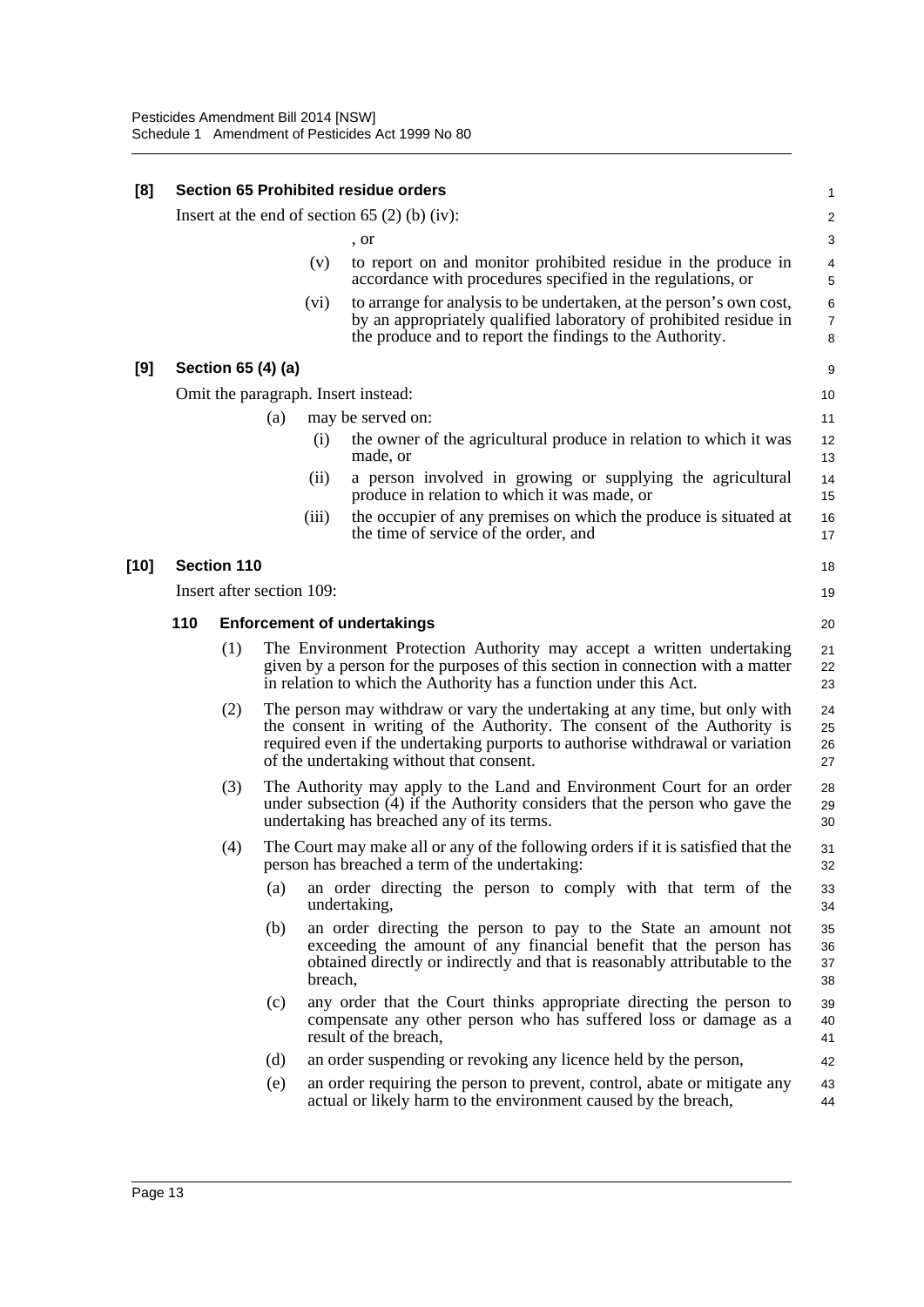| [8]  | <b>Section 65 Prohibited residue orders</b>     |                           |     |         |                                                                                                                                                                                                                                                                                      |                          |  |  |
|------|-------------------------------------------------|---------------------------|-----|---------|--------------------------------------------------------------------------------------------------------------------------------------------------------------------------------------------------------------------------------------------------------------------------------------|--------------------------|--|--|
|      | Insert at the end of section 65 $(2)$ (b) (iv): |                           |     |         |                                                                                                                                                                                                                                                                                      |                          |  |  |
|      |                                                 |                           |     |         | , or                                                                                                                                                                                                                                                                                 | 3                        |  |  |
|      |                                                 |                           |     | (v)     | to report on and monitor prohibited residue in the produce in<br>accordance with procedures specified in the regulations, or                                                                                                                                                         | 4<br>5                   |  |  |
|      |                                                 |                           |     | (vi)    | to arrange for analysis to be undertaken, at the person's own cost,<br>by an appropriately qualified laboratory of prohibited residue in<br>the produce and to report the findings to the Authority.                                                                                 | 6<br>$\overline{7}$<br>8 |  |  |
| [9]  |                                                 | Section 65 (4) (a)        |     |         |                                                                                                                                                                                                                                                                                      | 9                        |  |  |
|      | Omit the paragraph. Insert instead:             |                           |     |         |                                                                                                                                                                                                                                                                                      |                          |  |  |
|      |                                                 |                           | (a) |         | may be served on:                                                                                                                                                                                                                                                                    | 11                       |  |  |
|      |                                                 |                           |     | (i)     | the owner of the agricultural produce in relation to which it was<br>made, or                                                                                                                                                                                                        | 12<br>13                 |  |  |
|      |                                                 |                           |     | (ii)    | a person involved in growing or supplying the agricultural<br>produce in relation to which it was made, or                                                                                                                                                                           | 14<br>15                 |  |  |
|      |                                                 |                           |     | (iii)   | the occupier of any premises on which the produce is situated at<br>the time of service of the order, and                                                                                                                                                                            | 16<br>17                 |  |  |
| [10] |                                                 | <b>Section 110</b>        |     |         |                                                                                                                                                                                                                                                                                      | 18                       |  |  |
|      |                                                 | Insert after section 109: |     |         |                                                                                                                                                                                                                                                                                      | 19                       |  |  |
|      | 110                                             |                           |     |         | <b>Enforcement of undertakings</b>                                                                                                                                                                                                                                                   | 20                       |  |  |
|      |                                                 | (1)                       |     |         | The Environment Protection Authority may accept a written undertaking<br>given by a person for the purposes of this section in connection with a matter<br>in relation to which the Authority has a function under this Act.                                                         | 21<br>22<br>23           |  |  |
|      |                                                 | (2)                       |     |         | The person may withdraw or vary the undertaking at any time, but only with<br>the consent in writing of the Authority. The consent of the Authority is<br>required even if the undertaking purports to authorise withdrawal or variation<br>of the undertaking without that consent. | 24<br>25<br>26<br>27     |  |  |
|      |                                                 | (3)                       |     |         | The Authority may apply to the Land and Environment Court for an order<br>under subsection $(4)$ if the Authority considers that the person who gave the<br>undertaking has breached any of its terms.                                                                               | 28<br>29<br>30           |  |  |
|      |                                                 | (4)                       |     |         | The Court may make all or any of the following orders if it is satisfied that the<br>person has breached a term of the undertaking:                                                                                                                                                  | 31<br>32                 |  |  |
|      |                                                 |                           | (a) |         | an order directing the person to comply with that term of the<br>undertaking,                                                                                                                                                                                                        | 33<br>34                 |  |  |
|      |                                                 |                           | (b) | breach, | an order directing the person to pay to the State an amount not<br>exceeding the amount of any financial benefit that the person has<br>obtained directly or indirectly and that is reasonably attributable to the                                                                   | 35<br>36<br>37<br>38     |  |  |
|      |                                                 |                           | (c) |         | any order that the Court thinks appropriate directing the person to<br>compensate any other person who has suffered loss or damage as a<br>result of the breach,                                                                                                                     | 39<br>40<br>41           |  |  |
|      |                                                 |                           | (d) |         | an order suspending or revoking any licence held by the person,                                                                                                                                                                                                                      | 42                       |  |  |
|      |                                                 |                           | (e) |         | an order requiring the person to prevent, control, abate or mitigate any<br>actual or likely harm to the environment caused by the breach,                                                                                                                                           | 43<br>44                 |  |  |
|      |                                                 |                           |     |         |                                                                                                                                                                                                                                                                                      |                          |  |  |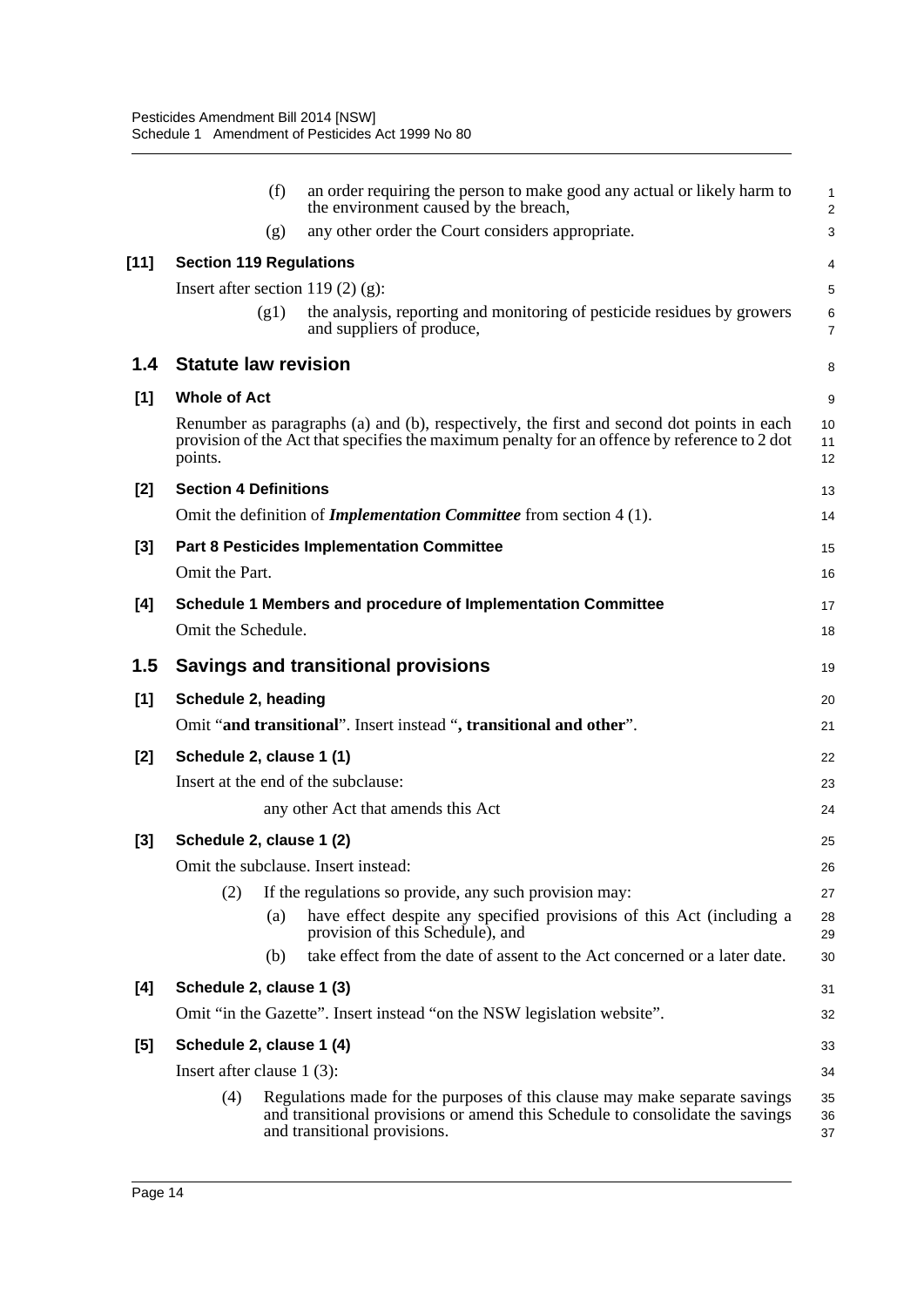|        | (f)                                    | an order requiring the person to make good any actual or likely harm to<br>the environment caused by the breach,                                                                            | 1<br>$\overline{\mathbf{c}}$ |  |  |  |
|--------|----------------------------------------|---------------------------------------------------------------------------------------------------------------------------------------------------------------------------------------------|------------------------------|--|--|--|
|        | (g)                                    | any other order the Court considers appropriate.                                                                                                                                            | 3                            |  |  |  |
| $[11]$ | <b>Section 119 Regulations</b>         |                                                                                                                                                                                             | 4                            |  |  |  |
|        | Insert after section 119 $(2)$ $(g)$ : |                                                                                                                                                                                             | 5                            |  |  |  |
|        | (g1)                                   | the analysis, reporting and monitoring of pesticide residues by growers<br>and suppliers of produce,                                                                                        | 6<br>$\overline{7}$          |  |  |  |
| 1.4    | <b>Statute law revision</b>            |                                                                                                                                                                                             | 8                            |  |  |  |
| [1]    | <b>Whole of Act</b>                    |                                                                                                                                                                                             | 9                            |  |  |  |
|        | points.                                | Renumber as paragraphs (a) and (b), respectively, the first and second dot points in each<br>provision of the Act that specifies the maximum penalty for an offence by reference to 2 dot   | 10<br>11<br>12               |  |  |  |
| [2]    | <b>Section 4 Definitions</b>           |                                                                                                                                                                                             | 13                           |  |  |  |
|        |                                        | Omit the definition of <i>Implementation Committee</i> from section 4 (1).                                                                                                                  | 14                           |  |  |  |
| $[3]$  |                                        | <b>Part 8 Pesticides Implementation Committee</b>                                                                                                                                           | 15                           |  |  |  |
|        | Omit the Part.                         |                                                                                                                                                                                             | 16                           |  |  |  |
| [4]    |                                        | Schedule 1 Members and procedure of Implementation Committee                                                                                                                                | 17                           |  |  |  |
|        | Omit the Schedule.                     |                                                                                                                                                                                             | 18                           |  |  |  |
| 1.5    |                                        | <b>Savings and transitional provisions</b>                                                                                                                                                  | 19                           |  |  |  |
| [1]    | Schedule 2, heading                    |                                                                                                                                                                                             | 20                           |  |  |  |
|        |                                        | Omit "and transitional". Insert instead ", transitional and other".                                                                                                                         | 21                           |  |  |  |
| [2]    | Schedule 2, clause 1 (1)               |                                                                                                                                                                                             | 22                           |  |  |  |
|        |                                        | Insert at the end of the subclause:                                                                                                                                                         | 23                           |  |  |  |
|        |                                        | any other Act that amends this Act                                                                                                                                                          | 24                           |  |  |  |
| $[3]$  | Schedule 2, clause 1 (2)               |                                                                                                                                                                                             | 25                           |  |  |  |
|        |                                        | Omit the subclause. Insert instead:                                                                                                                                                         | 26                           |  |  |  |
|        | (2)                                    | If the regulations so provide, any such provision may:                                                                                                                                      | 27                           |  |  |  |
|        | (a)                                    | have effect despite any specified provisions of this Act (including a<br>provision of this Schedule), and                                                                                   | 28<br>29                     |  |  |  |
|        | (b)                                    | take effect from the date of assent to the Act concerned or a later date.                                                                                                                   | 30                           |  |  |  |
| [4]    | Schedule 2, clause 1 (3)               |                                                                                                                                                                                             | 31                           |  |  |  |
|        |                                        | Omit "in the Gazette". Insert instead "on the NSW legislation website".                                                                                                                     | 32                           |  |  |  |
| $[5]$  | Schedule 2, clause 1 (4)               |                                                                                                                                                                                             |                              |  |  |  |
|        | Insert after clause $1(3)$ :           |                                                                                                                                                                                             |                              |  |  |  |
|        | (4)                                    | Regulations made for the purposes of this clause may make separate savings<br>and transitional provisions or amend this Schedule to consolidate the savings<br>and transitional provisions. | 35<br>36<br>37               |  |  |  |
|        |                                        |                                                                                                                                                                                             |                              |  |  |  |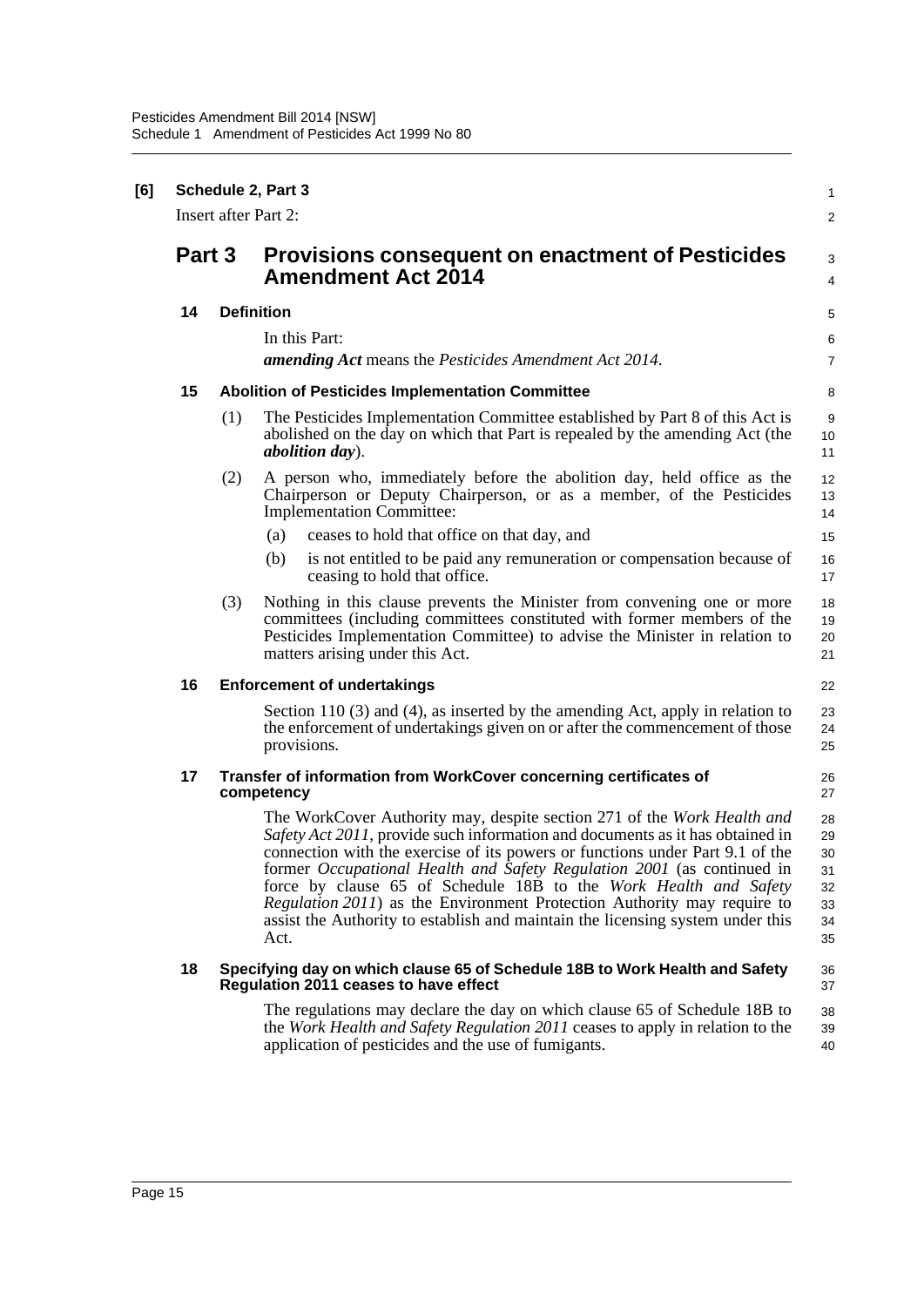| [6] | Schedule 2, Part 3 |                                                                                 |                                                                                                                                                                                                                                                                                                                                                                                                                                                                                                                                                              |                                              |  |  |  |  |
|-----|--------------------|---------------------------------------------------------------------------------|--------------------------------------------------------------------------------------------------------------------------------------------------------------------------------------------------------------------------------------------------------------------------------------------------------------------------------------------------------------------------------------------------------------------------------------------------------------------------------------------------------------------------------------------------------------|----------------------------------------------|--|--|--|--|
|     |                    | <b>Insert after Part 2:</b>                                                     |                                                                                                                                                                                                                                                                                                                                                                                                                                                                                                                                                              |                                              |  |  |  |  |
|     | Part 3             |                                                                                 | <b>Provisions consequent on enactment of Pesticides</b><br><b>Amendment Act 2014</b>                                                                                                                                                                                                                                                                                                                                                                                                                                                                         |                                              |  |  |  |  |
|     | 14                 |                                                                                 | <b>Definition</b>                                                                                                                                                                                                                                                                                                                                                                                                                                                                                                                                            |                                              |  |  |  |  |
|     |                    |                                                                                 | In this Part:                                                                                                                                                                                                                                                                                                                                                                                                                                                                                                                                                | 6                                            |  |  |  |  |
|     |                    |                                                                                 | <b>amending Act</b> means the <i>Pesticides Amendment Act 2014</i> .                                                                                                                                                                                                                                                                                                                                                                                                                                                                                         | $\boldsymbol{7}$                             |  |  |  |  |
|     | 15                 |                                                                                 | <b>Abolition of Pesticides Implementation Committee</b>                                                                                                                                                                                                                                                                                                                                                                                                                                                                                                      |                                              |  |  |  |  |
|     |                    | (1)                                                                             | The Pesticides Implementation Committee established by Part 8 of this Act is<br>abolished on the day on which that Part is repealed by the amending Act (the<br><i>abolition day</i> ).                                                                                                                                                                                                                                                                                                                                                                      | 9<br>10<br>11                                |  |  |  |  |
|     |                    | (2)                                                                             | A person who, immediately before the abolition day, held office as the<br>Chairperson or Deputy Chairperson, or as a member, of the Pesticides<br><b>Implementation Committee:</b>                                                                                                                                                                                                                                                                                                                                                                           | 12<br>13<br>14                               |  |  |  |  |
|     |                    |                                                                                 | ceases to hold that office on that day, and<br>(a)                                                                                                                                                                                                                                                                                                                                                                                                                                                                                                           | 15                                           |  |  |  |  |
|     |                    |                                                                                 | is not entitled to be paid any remuneration or compensation because of<br>(b)<br>ceasing to hold that office.                                                                                                                                                                                                                                                                                                                                                                                                                                                | 16<br>17                                     |  |  |  |  |
|     |                    | (3)                                                                             | Nothing in this clause prevents the Minister from convening one or more<br>committees (including committees constituted with former members of the<br>Pesticides Implementation Committee) to advise the Minister in relation to<br>matters arising under this Act.                                                                                                                                                                                                                                                                                          | 18<br>19<br>20<br>21                         |  |  |  |  |
|     | 16                 |                                                                                 | <b>Enforcement of undertakings</b>                                                                                                                                                                                                                                                                                                                                                                                                                                                                                                                           |                                              |  |  |  |  |
|     |                    |                                                                                 | Section 110 (3) and (4), as inserted by the amending Act, apply in relation to<br>the enforcement of undertakings given on or after the commencement of those<br>provisions.                                                                                                                                                                                                                                                                                                                                                                                 | 23<br>24<br>25                               |  |  |  |  |
|     | 17                 | Transfer of information from WorkCover concerning certificates of<br>competency |                                                                                                                                                                                                                                                                                                                                                                                                                                                                                                                                                              |                                              |  |  |  |  |
|     |                    |                                                                                 | The WorkCover Authority may, despite section 271 of the Work Health and<br>Safety Act 2011, provide such information and documents as it has obtained in<br>connection with the exercise of its powers or functions under Part 9.1 of the<br>former Occupational Health and Safety Regulation 2001 (as continued in<br>force by clause 65 of Schedule 18B to the Work Health and Safety<br>Regulation 2011) as the Environment Protection Authority may require to<br>assist the Authority to establish and maintain the licensing system under this<br>Act. | 28<br>29<br>30<br>31<br>32<br>33<br>34<br>35 |  |  |  |  |
|     | 18                 |                                                                                 | Specifying day on which clause 65 of Schedule 18B to Work Health and Safety<br>Regulation 2011 ceases to have effect                                                                                                                                                                                                                                                                                                                                                                                                                                         | 36<br>37                                     |  |  |  |  |
|     |                    |                                                                                 | The regulations may declare the day on which clause 65 of Schedule 18B to<br>the Work Health and Safety Regulation 2011 ceases to apply in relation to the<br>application of pesticides and the use of fumigants.                                                                                                                                                                                                                                                                                                                                            | 38<br>39<br>40                               |  |  |  |  |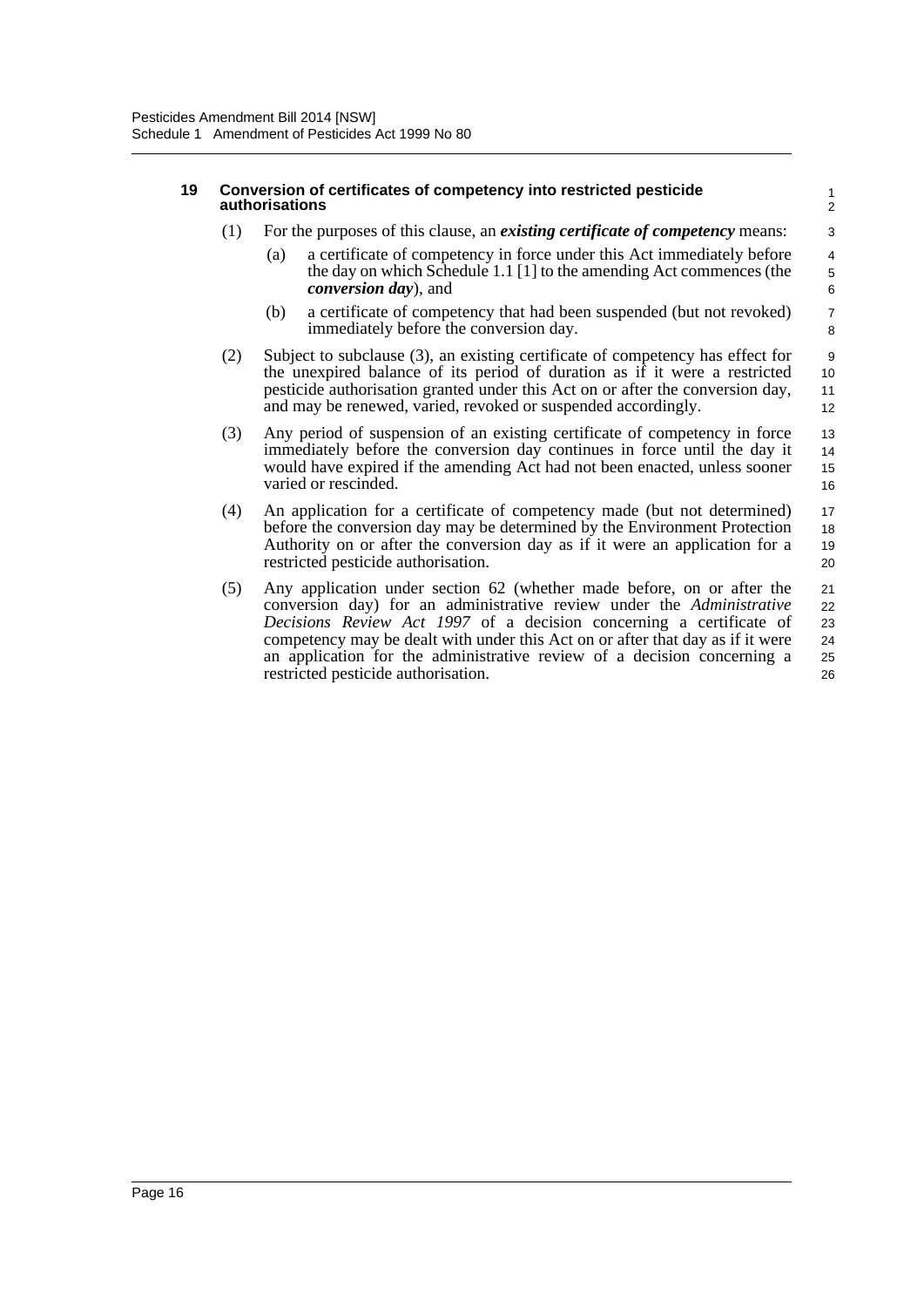#### **19 Conversion of certificates of competency into restricted pesticide authorisations**

- (1) For the purposes of this clause, an *existing certificate of competency* means:
	- (a) a certificate of competency in force under this Act immediately before the day on which Schedule 1.1 [1] to the amending Act commences (the *conversion day*), and

- (b) a certificate of competency that had been suspended (but not revoked) immediately before the conversion day.
- (2) Subject to subclause (3), an existing certificate of competency has effect for the unexpired balance of its period of duration as if it were a restricted pesticide authorisation granted under this Act on or after the conversion day, and may be renewed, varied, revoked or suspended accordingly.
- (3) Any period of suspension of an existing certificate of competency in force immediately before the conversion day continues in force until the day it would have expired if the amending Act had not been enacted, unless sooner varied or rescinded. 13 14 15 16
- (4) An application for a certificate of competency made (but not determined) before the conversion day may be determined by the Environment Protection Authority on or after the conversion day as if it were an application for a restricted pesticide authorisation. 17 18 19 20
- (5) Any application under section 62 (whether made before, on or after the conversion day) for an administrative review under the *Administrative Decisions Review Act 1997* of a decision concerning a certificate of competency may be dealt with under this Act on or after that day as if it were an application for the administrative review of a decision concerning a restricted pesticide authorisation. 21 22 23 24 25 26